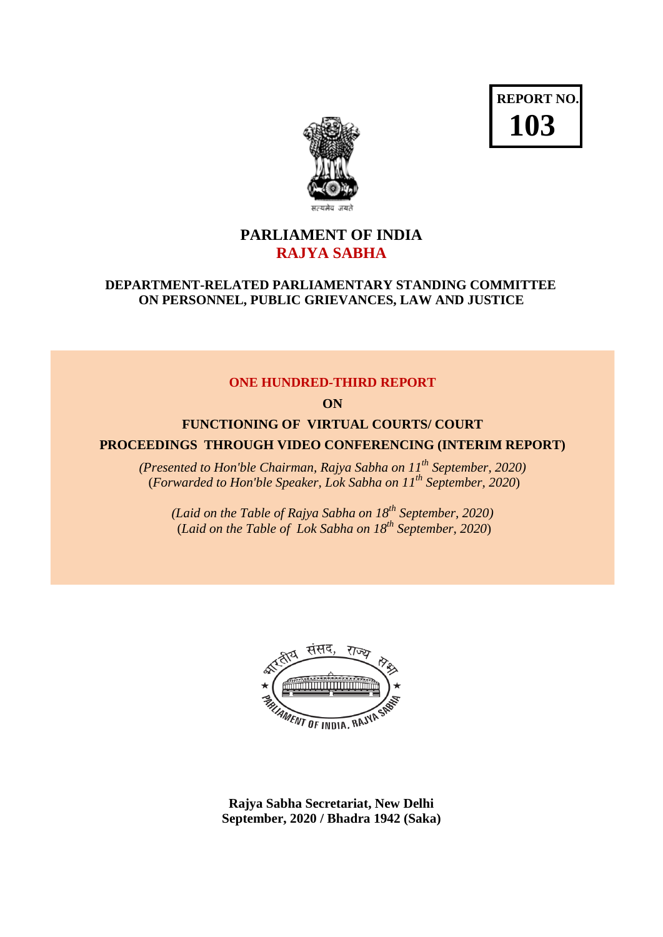



# **PARLIAMENT OF INDIA RAJYA SABHA**

### **DEPARTMENT-RELATED PARLIAMENTARY STANDING COMMITTEE ON PERSONNEL, PUBLIC GRIEVANCES, LAW AND JUSTICE**

#### **ONE HUNDRED-THIRD REPORT**

**ON**

# **FUNCTIONING OF VIRTUAL COURTS/ COURT PROCEEDINGS THROUGH VIDEO CONFERENCING (INTERIM REPORT)**

*(Presented to Hon'ble Chairman, Rajya Sabha on 11th September, 2020)* (*Forwarded to Hon'ble Speaker, Lok Sabha on 11th September, 2020*)

*(Laid on the Table of Rajya Sabha on 18th September, 2020)* (*Laid on the Table of Lok Sabha on 18th September, 2020*)



**Rajya Sabha Secretariat, New Delhi September, 2020 / Bhadra 1942 (Saka)**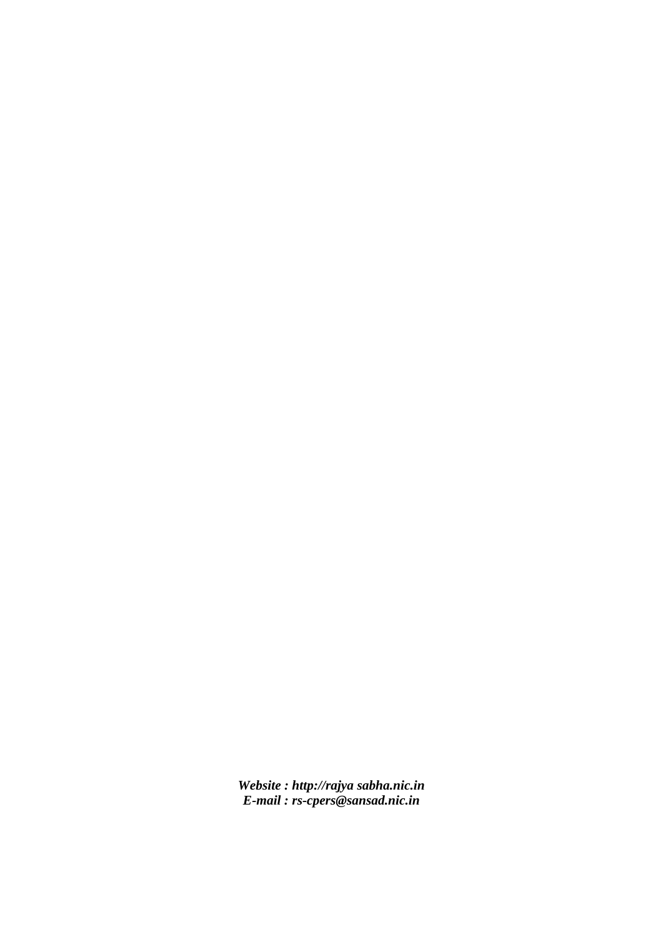*Website : http://rajya sabha.nic.in E-mail : rs-cpers@sansad.nic.in*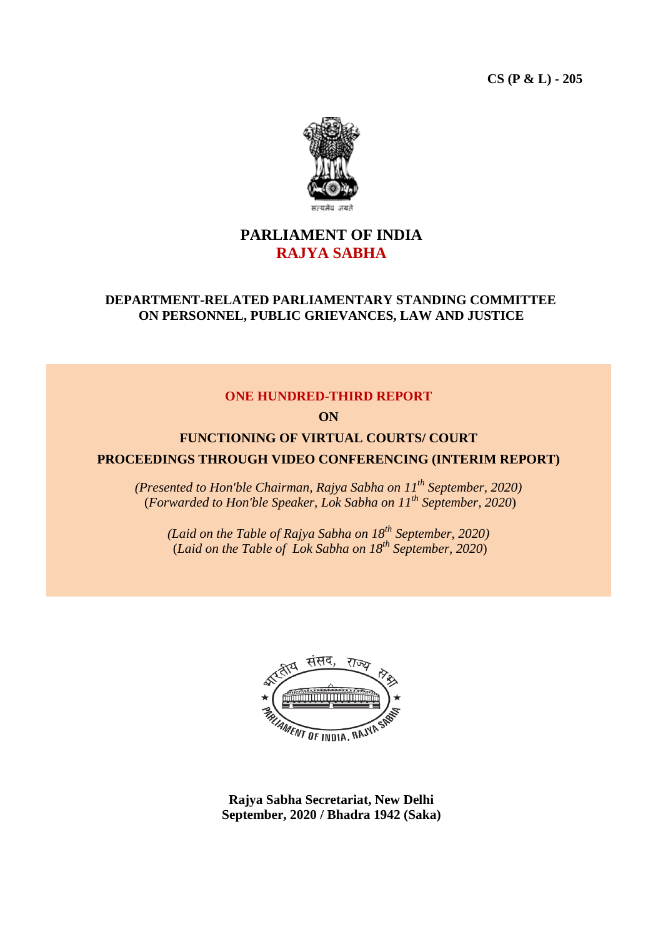**CS (P & L) - 205**



# **PARLIAMENT OF INDIA RAJYA SABHA**

# **DEPARTMENT-RELATED PARLIAMENTARY STANDING COMMITTEE ON PERSONNEL, PUBLIC GRIEVANCES, LAW AND JUSTICE**

#### **ONE HUNDRED-THIRD REPORT**

**ON**

# **FUNCTIONING OF VIRTUAL COURTS/ COURT PROCEEDINGS THROUGH VIDEO CONFERENCING (INTERIM REPORT)**

*(Presented to Hon'ble Chairman, Rajya Sabha on 11th September, 2020)* (*Forwarded to Hon'ble Speaker, Lok Sabha on 11th September, 2020*)

*(Laid on the Table of Rajya Sabha on 18th September, 2020)* (*Laid on the Table of Lok Sabha on 18th September, 2020*)



**Rajya Sabha Secretariat, New Delhi September, 2020 / Bhadra 1942 (Saka)**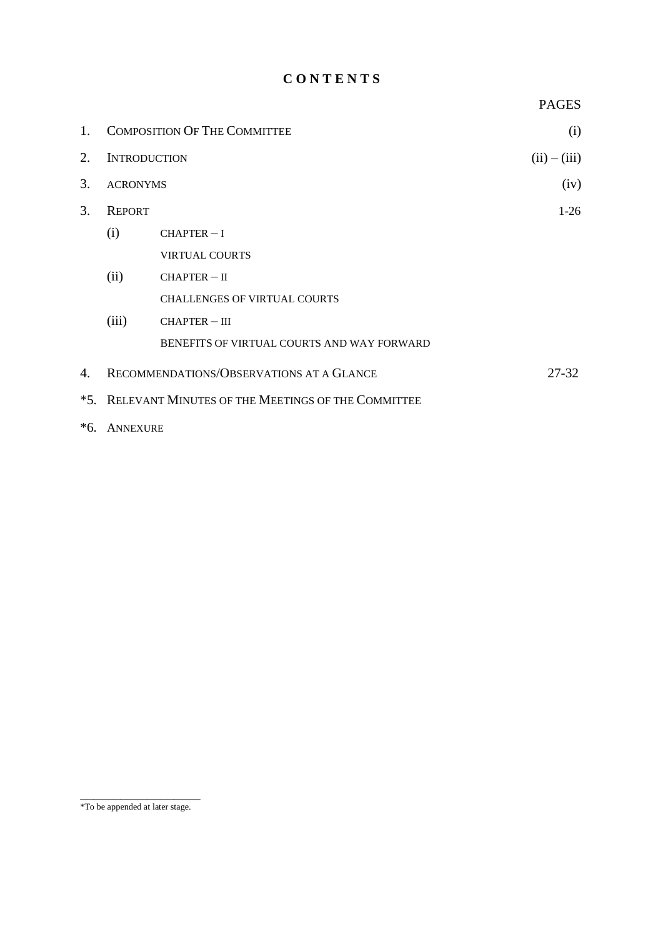# **C O N T E N T S**

| 1.                          | <b>COMPOSITION OF THE COMMITTEE</b>                   |                                            | (i)            |
|-----------------------------|-------------------------------------------------------|--------------------------------------------|----------------|
| 2.                          | <b>INTRODUCTION</b>                                   |                                            | $(ii) - (iii)$ |
| 3.                          | <b>ACRONYMS</b>                                       |                                            | (iv)           |
| 3.                          | <b>REPORT</b>                                         |                                            | $1-26$         |
|                             | (i)                                                   | $CHAPTER - I$                              |                |
|                             |                                                       | <b>VIRTUAL COURTS</b>                      |                |
|                             | (ii)                                                  | $CHAPTER - II$                             |                |
|                             |                                                       | <b>CHALLENGES OF VIRTUAL COURTS</b>        |                |
|                             | (iii)                                                 | <b>CHAPTER-III</b>                         |                |
|                             |                                                       | BENEFITS OF VIRTUAL COURTS AND WAY FORWARD |                |
| 4.                          |                                                       | RECOMMENDATIONS/OBSERVATIONS AT A GLANCE   | $27 - 32$      |
|                             | *5. RELEVANT MINUTES OF THE MEETINGS OF THE COMMITTEE |                                            |                |
| $\sim$ $\sim$ $\sim$ $\sim$ |                                                       |                                            |                |

\*6. ANNEXURE

\_\_\_\_\_\_\_\_\_\_\_\_\_\_\_\_\_\_ \*To be appended at later stage.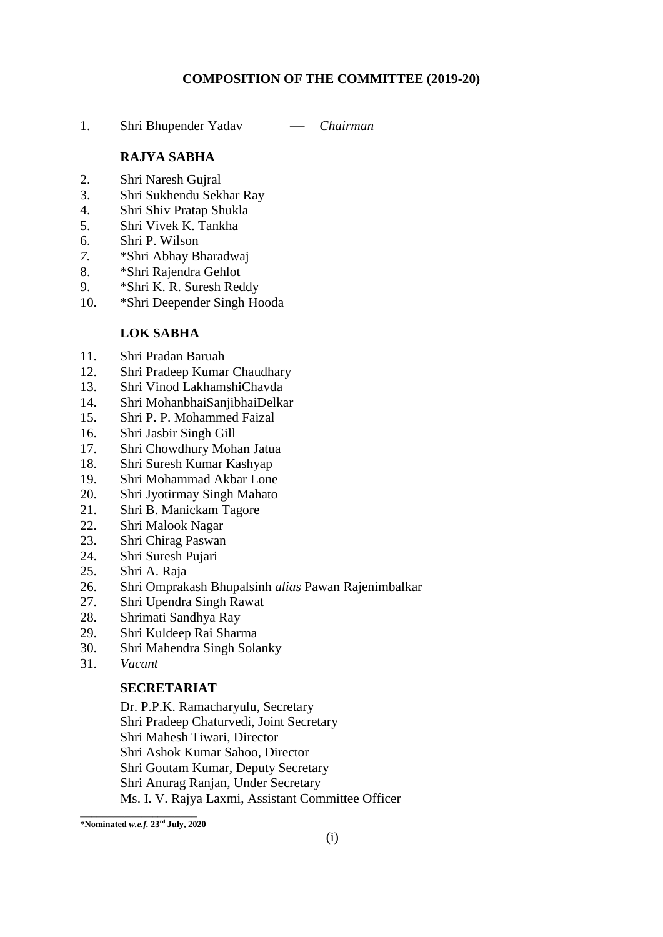#### **COMPOSITION OF THE COMMITTEE (2019-20)**

1. Shri Bhupender Yadav  *Chairman*

#### **RAJYA SABHA**

- 2. Shri Naresh Gujral
- 3. Shri Sukhendu Sekhar Ray
- 4. Shri Shiv Pratap Shukla
- 5. Shri Vivek K. Tankha
- 6. Shri P. Wilson
- *7.* \*Shri Abhay Bharadwaj
- 8. \*Shri Rajendra Gehlot
- 9. \*Shri K. R. Suresh Reddy
- 10. \*Shri Deepender Singh Hooda

# **LOK SABHA**

- 11. Shri Pradan Baruah
- 12. Shri Pradeep Kumar Chaudhary
- 13. Shri Vinod LakhamshiChavda
- 14. Shri MohanbhaiSanjibhaiDelkar
- 15. Shri P. P. Mohammed Faizal
- 16. Shri Jasbir Singh Gill
- 17. Shri Chowdhury Mohan Jatua
- 18. Shri Suresh Kumar Kashyap
- 19. Shri Mohammad Akbar Lone
- 20. Shri Jyotirmay Singh Mahato
- 21. Shri B. Manickam Tagore
- 22. Shri Malook Nagar
- 23. Shri Chirag Paswan
- 24. Shri Suresh Pujari
- 25. Shri A. Raja
- 26. Shri Omprakash Bhupalsinh *alias* Pawan Rajenimbalkar
- 27. Shri Upendra Singh Rawat
- 28. Shrimati Sandhya Ray
- 29. Shri Kuldeep Rai Sharma
- 30. Shri Mahendra Singh Solanky
- 31. *Vacant*

#### **SECRETARIAT**

Dr. P.P.K. Ramacharyulu, Secretary

Shri Pradeep Chaturvedi, Joint Secretary

Shri Mahesh Tiwari, Director

Shri Ashok Kumar Sahoo, Director

Shri Goutam Kumar, Deputy Secretary

Shri Anurag Ranjan, Under Secretary

Ms. I. V. Rajya Laxmi, Assistant Committee Officer

\_\_\_\_\_\_\_\_\_\_\_\_\_\_\_\_\_\_\_\_\_ **\*Nominated** *w.e.f.* **23rd July, 2020**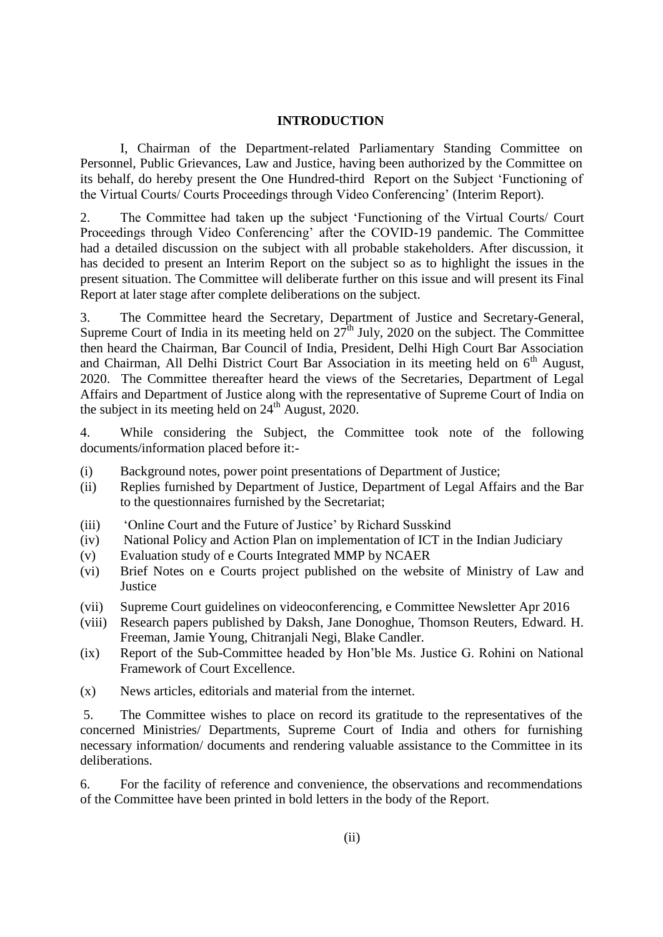#### **INTRODUCTION**

I, Chairman of the Department-related Parliamentary Standing Committee on Personnel, Public Grievances, Law and Justice, having been authorized by the Committee on its behalf, do hereby present the One Hundred-third Report on the Subject 'Functioning of the Virtual Courts/ Courts Proceedings through Video Conferencing' (Interim Report).

2. The Committee had taken up the subject 'Functioning of the Virtual Courts/ Court Proceedings through Video Conferencing' after the COVID-19 pandemic. The Committee had a detailed discussion on the subject with all probable stakeholders. After discussion, it has decided to present an Interim Report on the subject so as to highlight the issues in the present situation. The Committee will deliberate further on this issue and will present its Final Report at later stage after complete deliberations on the subject.

3. The Committee heard the Secretary, Department of Justice and Secretary-General, Supreme Court of India in its meeting held on  $27<sup>th</sup>$  July, 2020 on the subject. The Committee then heard the Chairman, Bar Council of India, President, Delhi High Court Bar Association and Chairman, All Delhi District Court Bar Association in its meeting held on  $6<sup>th</sup>$  August, 2020. The Committee thereafter heard the views of the Secretaries, Department of Legal Affairs and Department of Justice along with the representative of Supreme Court of India on the subject in its meeting held on  $24<sup>th</sup>$  August, 2020.

4. While considering the Subject, the Committee took note of the following documents/information placed before it:-

- (i) Background notes, power point presentations of Department of Justice;
- (ii) Replies furnished by Department of Justice, Department of Legal Affairs and the Bar to the questionnaires furnished by the Secretariat;
- (iii) 'Online Court and the Future of Justice' by Richard Susskind
- (iv) National Policy and Action Plan on implementation of ICT in the Indian Judiciary
- (v) Evaluation study of e Courts Integrated MMP by NCAER
- (vi) Brief Notes on e Courts project published on the website of Ministry of Law and **Justice**
- (vii) Supreme Court guidelines on videoconferencing, e Committee Newsletter Apr 2016
- (viii) Research papers published by Daksh, Jane Donoghue, Thomson Reuters, Edward. H. Freeman, Jamie Young, Chitranjali Negi, Blake Candler.
- (ix) Report of the Sub-Committee headed by Hon'ble Ms. Justice G. Rohini on National Framework of Court Excellence.
- (x) News articles, editorials and material from the internet.

5. The Committee wishes to place on record its gratitude to the representatives of the concerned Ministries/ Departments, Supreme Court of India and others for furnishing necessary information/ documents and rendering valuable assistance to the Committee in its deliberations.

6. For the facility of reference and convenience, the observations and recommendations of the Committee have been printed in bold letters in the body of the Report.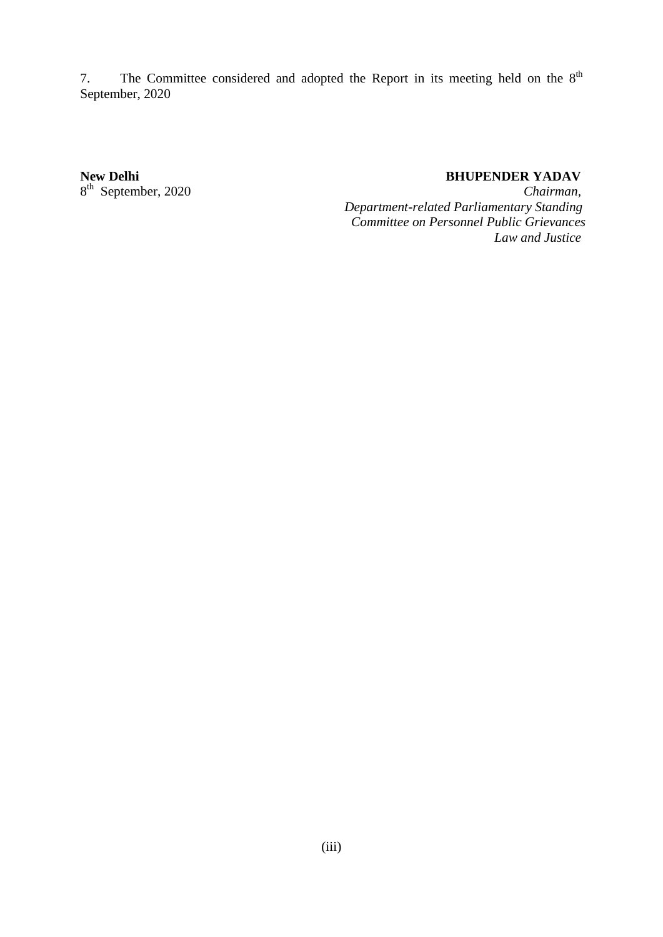7. The Committee considered and adopted the Report in its meeting held on the  $8<sup>th</sup>$ September, 2020

#### **New Delhi** BHUPENDER YADAV

8 th September, 2020 *Chairman, Department-related Parliamentary Standing Committee on Personnel Public Grievances Law and Justice*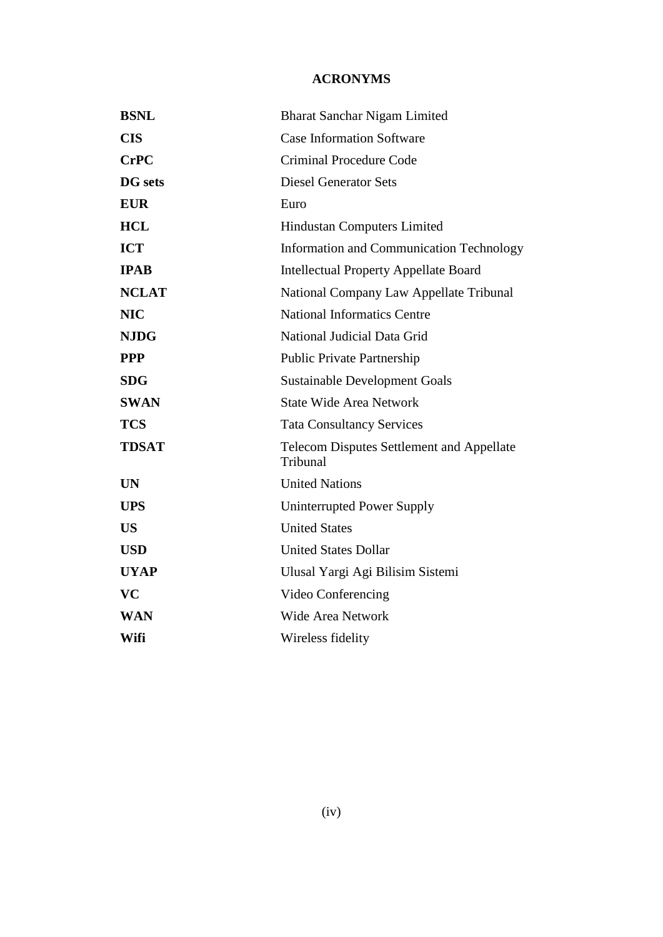# **ACRONYMS**

| <b>BSNL</b>    | <b>Bharat Sanchar Nigam Limited</b>                          |  |
|----------------|--------------------------------------------------------------|--|
| <b>CIS</b>     | <b>Case Information Software</b>                             |  |
| <b>CrPC</b>    | Criminal Procedure Code                                      |  |
| <b>DG</b> sets | <b>Diesel Generator Sets</b>                                 |  |
| <b>EUR</b>     | Euro                                                         |  |
| <b>HCL</b>     | Hindustan Computers Limited                                  |  |
| <b>ICT</b>     | <b>Information and Communication Technology</b>              |  |
| <b>IPAB</b>    | <b>Intellectual Property Appellate Board</b>                 |  |
| <b>NCLAT</b>   | National Company Law Appellate Tribunal                      |  |
| <b>NIC</b>     | <b>National Informatics Centre</b>                           |  |
| <b>NJDG</b>    | National Judicial Data Grid                                  |  |
| <b>PPP</b>     | <b>Public Private Partnership</b>                            |  |
| <b>SDG</b>     | <b>Sustainable Development Goals</b>                         |  |
| <b>SWAN</b>    | <b>State Wide Area Network</b>                               |  |
| <b>TCS</b>     | <b>Tata Consultancy Services</b>                             |  |
| <b>TDSAT</b>   | <b>Telecom Disputes Settlement and Appellate</b><br>Tribunal |  |
| <b>UN</b>      | <b>United Nations</b>                                        |  |
| <b>UPS</b>     | Uninterrupted Power Supply                                   |  |
| <b>US</b>      | <b>United States</b>                                         |  |
| <b>USD</b>     | <b>United States Dollar</b>                                  |  |
| <b>UYAP</b>    | Ulusal Yargi Agi Bilisim Sistemi                             |  |
| <b>VC</b>      | Video Conferencing                                           |  |
| <b>WAN</b>     | <b>Wide Area Network</b>                                     |  |
| Wifi           | Wireless fidelity                                            |  |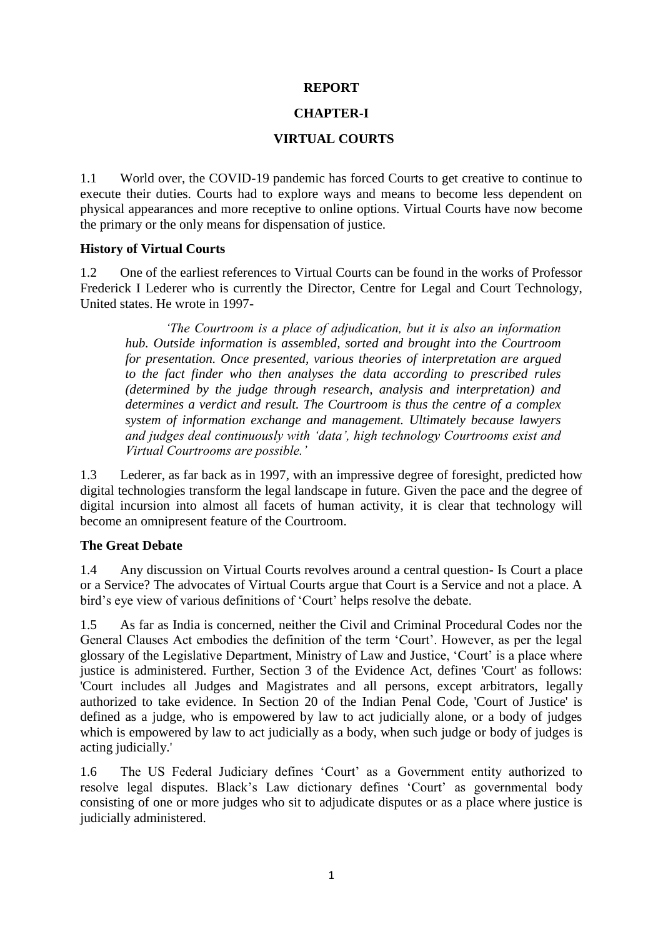#### **REPORT**

# **CHAPTER-I**

# **VIRTUAL COURTS**

1.1 World over, the COVID-19 pandemic has forced Courts to get creative to continue to execute their duties. Courts had to explore ways and means to become less dependent on physical appearances and more receptive to online options. Virtual Courts have now become the primary or the only means for dispensation of justice.

#### **History of Virtual Courts**

1.2 One of the earliest references to Virtual Courts can be found in the works of Professor Frederick I Lederer who is currently the Director, Centre for Legal and Court Technology, United states. He wrote in 1997-

*'The Courtroom is a place of adjudication, but it is also an information hub. Outside information is assembled, sorted and brought into the Courtroom for presentation. Once presented, various theories of interpretation are argued to the fact finder who then analyses the data according to prescribed rules (determined by the judge through research, analysis and interpretation) and determines a verdict and result. The Courtroom is thus the centre of a complex system of information exchange and management. Ultimately because lawyers and judges deal continuously with 'data', high technology Courtrooms exist and Virtual Courtrooms are possible.'*

1.3 Lederer, as far back as in 1997, with an impressive degree of foresight, predicted how digital technologies transform the legal landscape in future. Given the pace and the degree of digital incursion into almost all facets of human activity, it is clear that technology will become an omnipresent feature of the Courtroom.

# **The Great Debate**

1.4 Any discussion on Virtual Courts revolves around a central question- Is Court a place or a Service? The advocates of Virtual Courts argue that Court is a Service and not a place. A bird's eye view of various definitions of 'Court' helps resolve the debate.

1.5 As far as India is concerned, neither the Civil and Criminal Procedural Codes nor the General Clauses Act embodies the definition of the term 'Court'. However, as per the legal glossary of the Legislative Department, Ministry of Law and Justice, 'Court' is a place where justice is administered. Further, Section 3 of the Evidence Act, defines 'Court' as follows: 'Court includes all Judges and Magistrates and all persons, except arbitrators, legally authorized to take evidence. In Section 20 of the Indian Penal Code, 'Court of Justice' is defined as a judge, who is empowered by law to act judicially alone, or a body of judges which is empowered by law to act judicially as a body, when such judge or body of judges is acting judicially.'

1.6 The US Federal Judiciary defines 'Court' as a Government entity authorized to resolve legal disputes. Black's Law dictionary defines 'Court' as governmental body consisting of one or more judges who sit to adjudicate disputes or as a place where justice is judicially administered.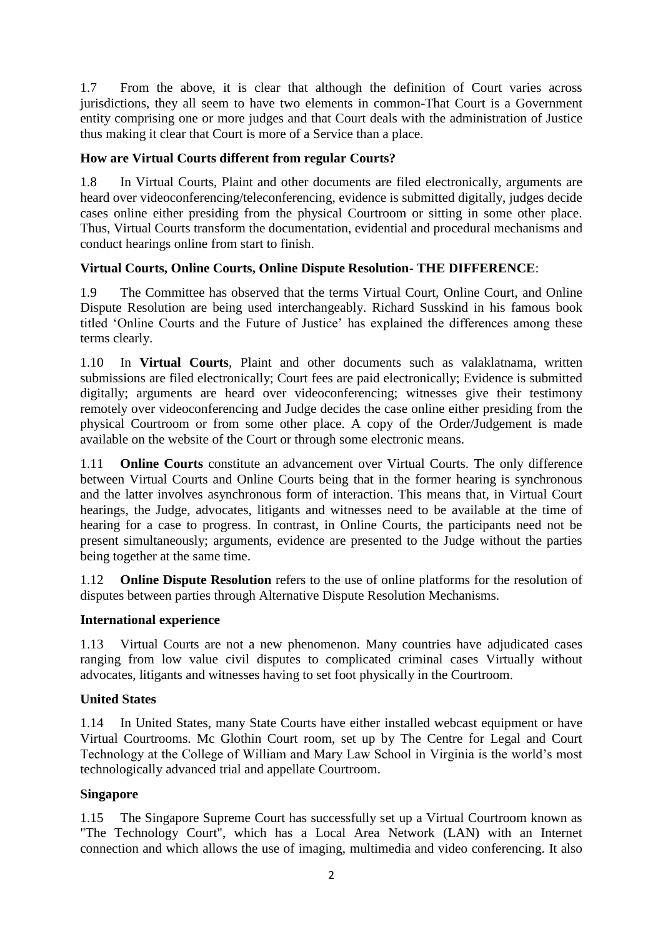1.7 From the above, it is clear that although the definition of Court varies across jurisdictions, they all seem to have two elements in common-That Court is a Government entity comprising one or more judges and that Court deals with the administration of Justice thus making it clear that Court is more of a Service than a place.

# **How are Virtual Courts different from regular Courts?**

1.8 In Virtual Courts, Plaint and other documents are filed electronically, arguments are heard over videoconferencing/teleconferencing, evidence is submitted digitally, judges decide cases online either presiding from the physical Courtroom or sitting in some other place. Thus, Virtual Courts transform the documentation, evidential and procedural mechanisms and conduct hearings online from start to finish.

# **Virtual Courts, Online Courts, Online Dispute Resolution- THE DIFFERENCE**:

1.9 The Committee has observed that the terms Virtual Court, Online Court, and Online Dispute Resolution are being used interchangeably. Richard Susskind in his famous book titled 'Online Courts and the Future of Justice' has explained the differences among these terms clearly.

1.10 In **Virtual Courts**, Plaint and other documents such as valaklatnama, written submissions are filed electronically; Court fees are paid electronically; Evidence is submitted digitally; arguments are heard over videoconferencing; witnesses give their testimony remotely over videoconferencing and Judge decides the case online either presiding from the physical Courtroom or from some other place. A copy of the Order/Judgement is made available on the website of the Court or through some electronic means.

1.11 **Online Courts** constitute an advancement over Virtual Courts. The only difference between Virtual Courts and Online Courts being that in the former hearing is synchronous and the latter involves asynchronous form of interaction. This means that, in Virtual Court hearings, the Judge, advocates, litigants and witnesses need to be available at the time of hearing for a case to progress. In contrast, in Online Courts, the participants need not be present simultaneously; arguments, evidence are presented to the Judge without the parties being together at the same time.

1.12 **Online Dispute Resolution** refers to the use of online platforms for the resolution of disputes between parties through Alternative Dispute Resolution Mechanisms.

#### **International experience**

1.13 Virtual Courts are not a new phenomenon. Many countries have adjudicated cases ranging from low value civil disputes to complicated criminal cases Virtually without advocates, litigants and witnesses having to set foot physically in the Courtroom.

#### **United States**

1.14 In United States, many State Courts have either installed webcast equipment or have Virtual Courtrooms. Mc Glothin Court room, set up by The Centre for Legal and Court Technology at the College of William and Mary Law School in Virginia is the world's most technologically advanced trial and appellate Courtroom.

#### **Singapore**

1.15 The Singapore Supreme Court has successfully set up a Virtual Courtroom known as "The Technology Court", which has a Local Area Network (LAN) with an Internet connection and which allows the use of imaging, multimedia and video conferencing. It also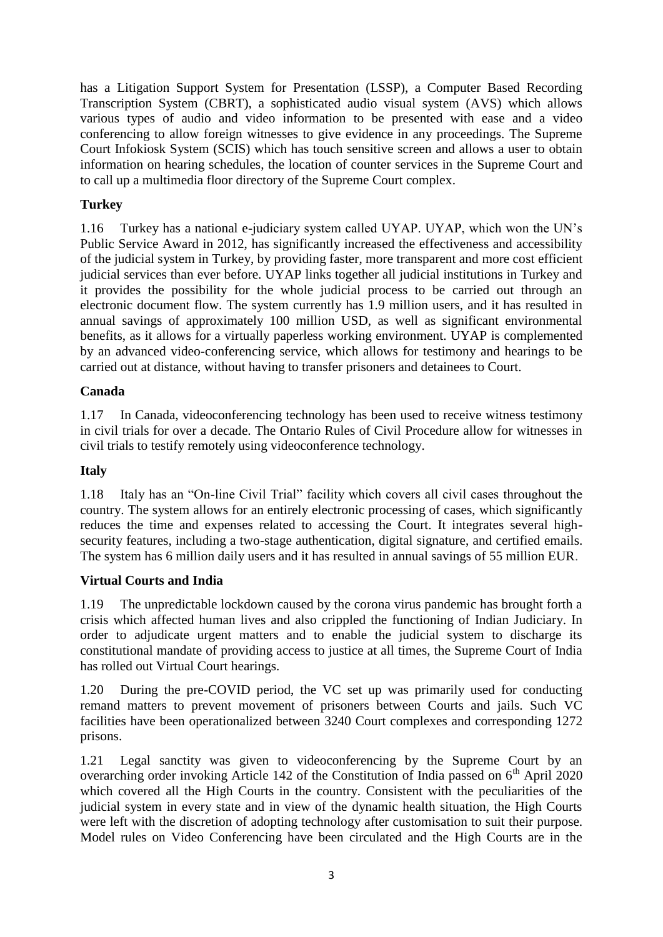has a Litigation Support System for Presentation (LSSP), a Computer Based Recording Transcription System (CBRT), a sophisticated audio visual system (AVS) which allows various types of audio and video information to be presented with ease and a video conferencing to allow foreign witnesses to give evidence in any proceedings. The Supreme Court Infokiosk System (SCIS) which has touch sensitive screen and allows a user to obtain information on hearing schedules, the location of counter services in the Supreme Court and to call up a multimedia floor directory of the Supreme Court complex.

# **Turkey**

1.16 Turkey has a national e-judiciary system called UYAP. UYAP, which won the UN's Public Service Award in 2012, has significantly increased the effectiveness and accessibility of the judicial system in Turkey, by providing faster, more transparent and more cost efficient judicial services than ever before. UYAP links together all judicial institutions in Turkey and it provides the possibility for the whole judicial process to be carried out through an electronic document flow. The system currently has 1.9 million users, and it has resulted in annual savings of approximately 100 million USD, as well as significant environmental benefits, as it allows for a virtually paperless working environment. UYAP is complemented by an advanced video-conferencing service, which allows for testimony and hearings to be carried out at distance, without having to transfer prisoners and detainees to Court.

# **Canada**

1.17 In Canada, videoconferencing technology has been used to receive witness testimony in civil trials for over a decade. The Ontario Rules of Civil Procedure allow for witnesses in civil trials to testify remotely using videoconference technology.

# **Italy**

1.18 Italy has an "On-line Civil Trial" facility which covers all civil cases throughout the country. The system allows for an entirely electronic processing of cases, which significantly reduces the time and expenses related to accessing the Court. It integrates several highsecurity features, including a two-stage authentication, digital signature, and certified emails. The system has 6 million daily users and it has resulted in annual savings of 55 million EUR.

# **Virtual Courts and India**

1.19 The unpredictable lockdown caused by the corona virus pandemic has brought forth a crisis which affected human lives and also crippled the functioning of Indian Judiciary. In order to adjudicate urgent matters and to enable the judicial system to discharge its constitutional mandate of providing access to justice at all times, the Supreme Court of India has rolled out Virtual Court hearings.

1.20 During the pre-COVID period, the VC set up was primarily used for conducting remand matters to prevent movement of prisoners between Courts and jails. Such VC facilities have been operationalized between 3240 Court complexes and corresponding 1272 prisons.

1.21 Legal sanctity was given to videoconferencing by the Supreme Court by an overarching order invoking Article 142 of the Constitution of India passed on  $6<sup>th</sup>$  April 2020 which covered all the High Courts in the country. Consistent with the peculiarities of the judicial system in every state and in view of the dynamic health situation, the High Courts were left with the discretion of adopting technology after customisation to suit their purpose. Model rules on Video Conferencing have been circulated and the High Courts are in the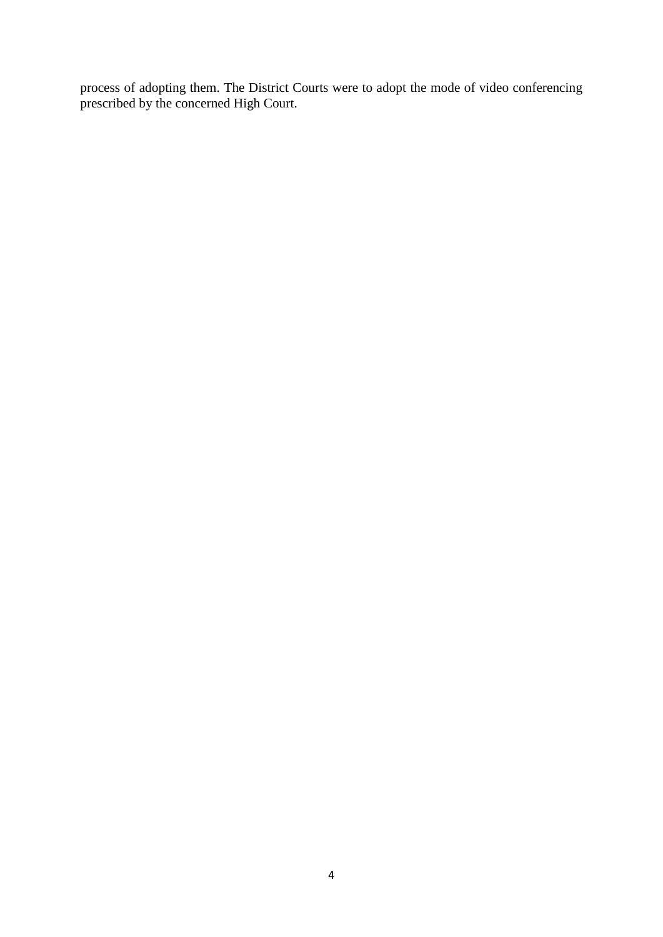process of adopting them. The District Courts were to adopt the mode of video conferencing prescribed by the concerned High Court.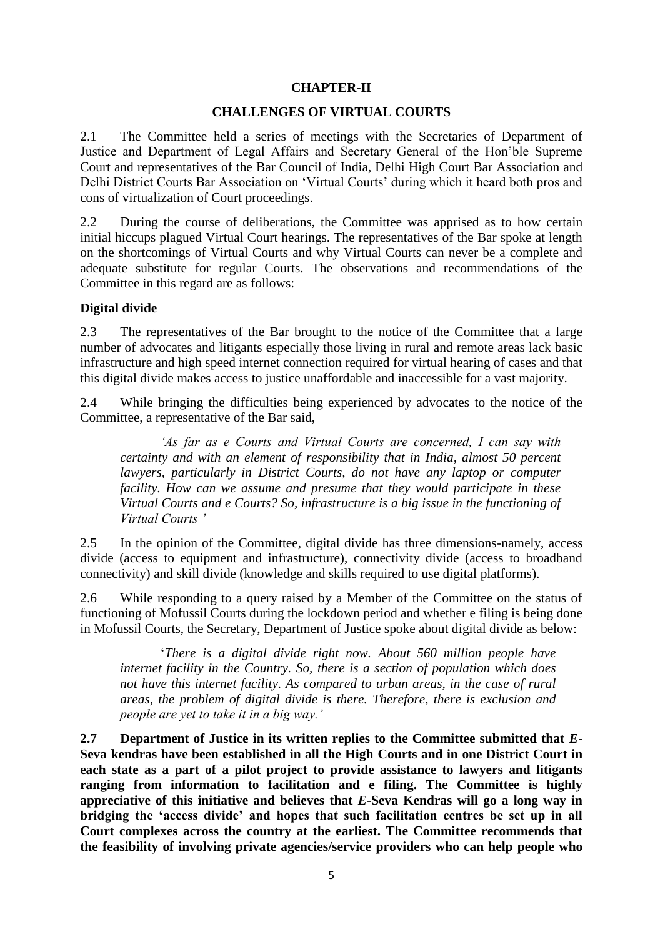# **CHAPTER-II**

#### **CHALLENGES OF VIRTUAL COURTS**

2.1 The Committee held a series of meetings with the Secretaries of Department of Justice and Department of Legal Affairs and Secretary General of the Hon'ble Supreme Court and representatives of the Bar Council of India, Delhi High Court Bar Association and Delhi District Courts Bar Association on 'Virtual Courts' during which it heard both pros and cons of virtualization of Court proceedings.

2.2 During the course of deliberations, the Committee was apprised as to how certain initial hiccups plagued Virtual Court hearings. The representatives of the Bar spoke at length on the shortcomings of Virtual Courts and why Virtual Courts can never be a complete and adequate substitute for regular Courts. The observations and recommendations of the Committee in this regard are as follows:

#### **Digital divide**

2.3 The representatives of the Bar brought to the notice of the Committee that a large number of advocates and litigants especially those living in rural and remote areas lack basic infrastructure and high speed internet connection required for virtual hearing of cases and that this digital divide makes access to justice unaffordable and inaccessible for a vast majority.

2.4 While bringing the difficulties being experienced by advocates to the notice of the Committee, a representative of the Bar said,

*'As far as e Courts and Virtual Courts are concerned, I can say with certainty and with an element of responsibility that in India, almost 50 percent lawyers, particularly in District Courts, do not have any laptop or computer facility. How can we assume and presume that they would participate in these Virtual Courts and e Courts? So, infrastructure is a big issue in the functioning of Virtual Courts '*

2.5 In the opinion of the Committee, digital divide has three dimensions-namely, access divide (access to equipment and infrastructure), connectivity divide (access to broadband connectivity) and skill divide (knowledge and skills required to use digital platforms).

2.6 While responding to a query raised by a Member of the Committee on the status of functioning of Mofussil Courts during the lockdown period and whether e filing is being done in Mofussil Courts, the Secretary, Department of Justice spoke about digital divide as below:

'*There is a digital divide right now. About 560 million people have internet facility in the Country. So, there is a section of population which does not have this internet facility. As compared to urban areas, in the case of rural areas, the problem of digital divide is there. Therefore, there is exclusion and people are yet to take it in a big way.'*

**2.7 Department of Justice in its written replies to the Committee submitted that** *E***-Seva kendras have been established in all the High Courts and in one District Court in each state as a part of a pilot project to provide assistance to lawyers and litigants ranging from information to facilitation and e filing. The Committee is highly appreciative of this initiative and believes that** *E-***Seva Kendras will go a long way in bridging the 'access divide' and hopes that such facilitation centres be set up in all Court complexes across the country at the earliest. The Committee recommends that the feasibility of involving private agencies/service providers who can help people who**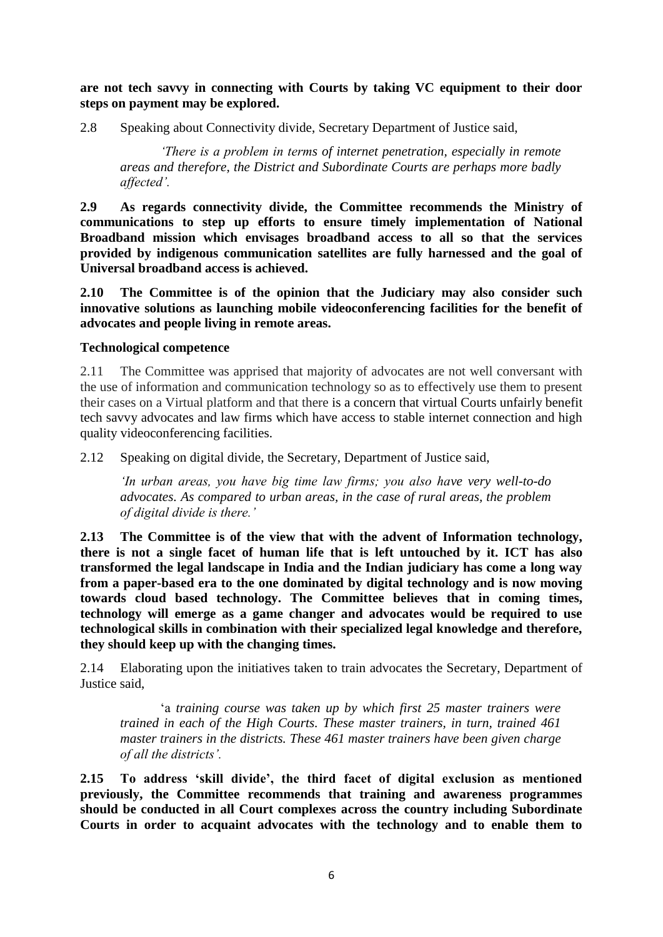**are not tech savvy in connecting with Courts by taking VC equipment to their door steps on payment may be explored.**

2.8 Speaking about Connectivity divide, Secretary Department of Justice said,

*'There is a problem in terms of internet penetration, especially in remote areas and therefore, the District and Subordinate Courts are perhaps more badly affected'.*

**2.9 As regards connectivity divide, the Committee recommends the Ministry of communications to step up efforts to ensure timely implementation of National Broadband mission which envisages broadband access to all so that the services provided by indigenous communication satellites are fully harnessed and the goal of Universal broadband access is achieved.**

**2.10 The Committee is of the opinion that the Judiciary may also consider such innovative solutions as launching mobile videoconferencing facilities for the benefit of advocates and people living in remote areas.**

#### **Technological competence**

2.11 The Committee was apprised that majority of advocates are not well conversant with the use of information and communication technology so as to effectively use them to present their cases on a Virtual platform and that there is a concern that virtual Courts unfairly benefit tech savvy advocates and law firms which have access to stable internet connection and high quality videoconferencing facilities.

2.12 Speaking on digital divide, the Secretary, Department of Justice said,

*'In urban areas, you have big time law firms; you also have very well-to-do advocates. As compared to urban areas, in the case of rural areas, the problem of digital divide is there.'*

**2.13 The Committee is of the view that with the advent of Information technology, there is not a single facet of human life that is left untouched by it. ICT has also transformed the legal landscape in India and the Indian judiciary has come a long way from a paper-based era to the one dominated by digital technology and is now moving towards cloud based technology. The Committee believes that in coming times, technology will emerge as a game changer and advocates would be required to use technological skills in combination with their specialized legal knowledge and therefore, they should keep up with the changing times.**

2.14 Elaborating upon the initiatives taken to train advocates the Secretary, Department of Justice said,

'a *training course was taken up by which first 25 master trainers were trained in each of the High Courts. These master trainers, in turn, trained 461 master trainers in the districts. These 461 master trainers have been given charge of all the districts'.*

**2.15 To address 'skill divide', the third facet of digital exclusion as mentioned previously, the Committee recommends that training and awareness programmes should be conducted in all Court complexes across the country including Subordinate Courts in order to acquaint advocates with the technology and to enable them to**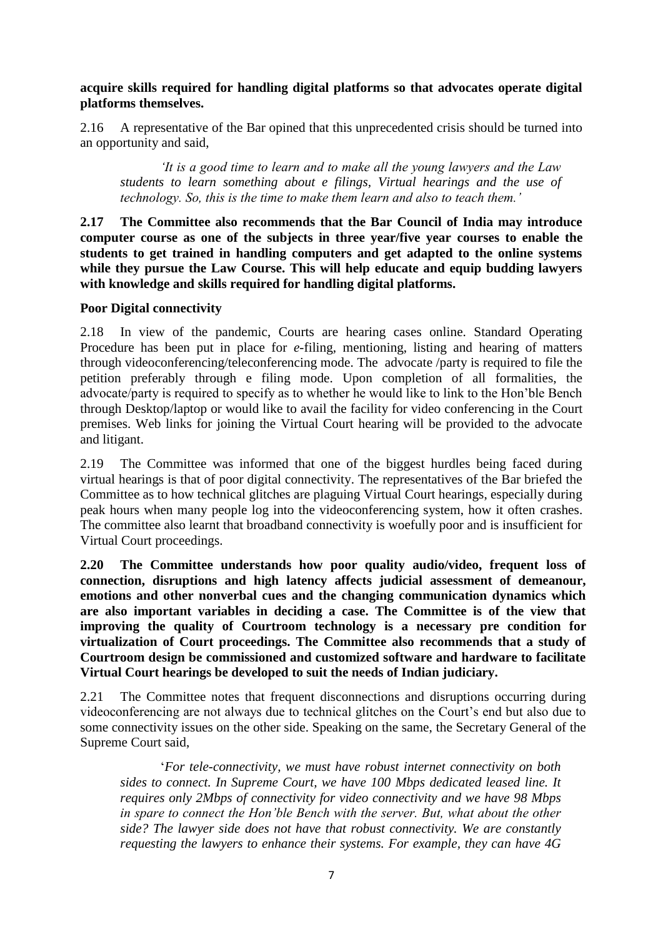**acquire skills required for handling digital platforms so that advocates operate digital platforms themselves.** 

2.16 A representative of the Bar opined that this unprecedented crisis should be turned into an opportunity and said,

*'It is a good time to learn and to make all the young lawyers and the Law students to learn something about e filings, Virtual hearings and the use of technology. So, this is the time to make them learn and also to teach them.'*

**2.17 The Committee also recommends that the Bar Council of India may introduce computer course as one of the subjects in three year/five year courses to enable the students to get trained in handling computers and get adapted to the online systems while they pursue the Law Course. This will help educate and equip budding lawyers with knowledge and skills required for handling digital platforms.**

#### **Poor Digital connectivity**

2.18 In view of the pandemic, Courts are hearing cases online. Standard Operating Procedure has been put in place for *e*-filing, mentioning, listing and hearing of matters through videoconferencing/teleconferencing mode. The advocate /party is required to file the petition preferably through e filing mode. Upon completion of all formalities, the advocate/party is required to specify as to whether he would like to link to the Hon'ble Bench through Desktop/laptop or would like to avail the facility for video conferencing in the Court premises. Web links for joining the Virtual Court hearing will be provided to the advocate and litigant.

2.19 The Committee was informed that one of the biggest hurdles being faced during virtual hearings is that of poor digital connectivity. The representatives of the Bar briefed the Committee as to how technical glitches are plaguing Virtual Court hearings, especially during peak hours when many people log into the videoconferencing system, how it often crashes. The committee also learnt that broadband connectivity is woefully poor and is insufficient for Virtual Court proceedings.

**2.20 The Committee understands how poor quality audio/video, frequent loss of connection, disruptions and high latency affects judicial assessment of demeanour, emotions and other nonverbal cues and the changing communication dynamics which are also important variables in deciding a case. The Committee is of the view that improving the quality of Courtroom technology is a necessary pre condition for virtualization of Court proceedings. The Committee also recommends that a study of Courtroom design be commissioned and customized software and hardware to facilitate Virtual Court hearings be developed to suit the needs of Indian judiciary.**

2.21 The Committee notes that frequent disconnections and disruptions occurring during videoconferencing are not always due to technical glitches on the Court's end but also due to some connectivity issues on the other side. Speaking on the same, the Secretary General of the Supreme Court said,

'*For tele-connectivity, we must have robust internet connectivity on both sides to connect. In Supreme Court, we have 100 Mbps dedicated leased line. It requires only 2Mbps of connectivity for video connectivity and we have 98 Mbps in spare to connect the Hon'ble Bench with the server. But, what about the other side? The lawyer side does not have that robust connectivity. We are constantly requesting the lawyers to enhance their systems. For example, they can have 4G*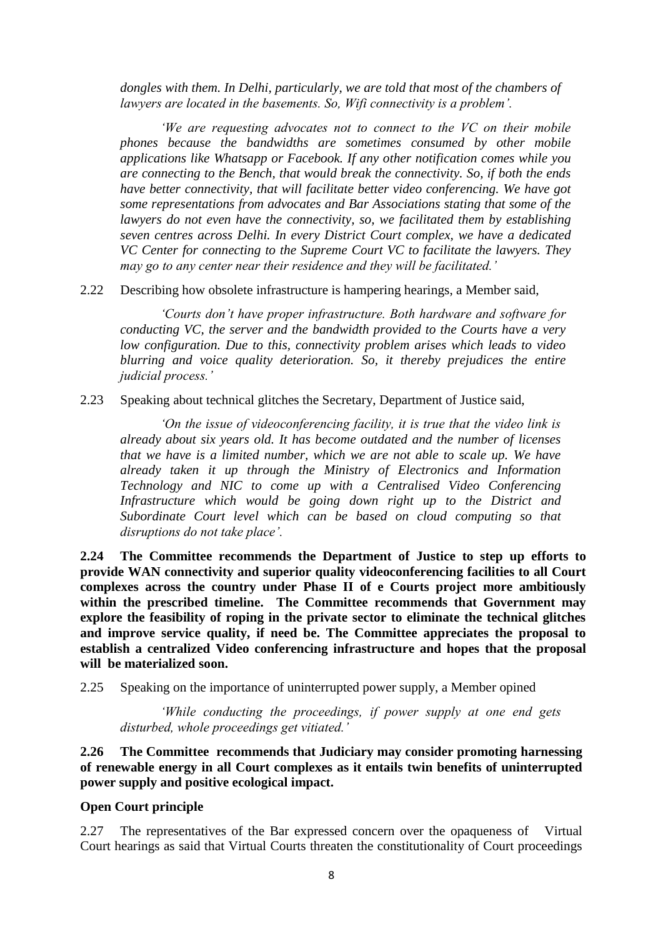*dongles with them. In Delhi, particularly, we are told that most of the chambers of lawyers are located in the basements. So, Wifi connectivity is a problem'.* 

*'We are requesting advocates not to connect to the VC on their mobile phones because the bandwidths are sometimes consumed by other mobile applications like Whatsapp or Facebook. If any other notification comes while you are connecting to the Bench, that would break the connectivity. So, if both the ends have better connectivity, that will facilitate better video conferencing. We have got some representations from advocates and Bar Associations stating that some of the lawyers do not even have the connectivity, so, we facilitated them by establishing seven centres across Delhi. In every District Court complex, we have a dedicated VC Center for connecting to the Supreme Court VC to facilitate the lawyers. They may go to any center near their residence and they will be facilitated.'*

2.22 Describing how obsolete infrastructure is hampering hearings, a Member said,

*'Courts don't have proper infrastructure. Both hardware and software for conducting VC, the server and the bandwidth provided to the Courts have a very low configuration. Due to this, connectivity problem arises which leads to video blurring and voice quality deterioration. So, it thereby prejudices the entire judicial process.'*

2.23 Speaking about technical glitches the Secretary, Department of Justice said,

*'On the issue of videoconferencing facility, it is true that the video link is already about six years old. It has become outdated and the number of licenses that we have is a limited number, which we are not able to scale up. We have already taken it up through the Ministry of Electronics and Information Technology and NIC to come up with a Centralised Video Conferencing Infrastructure which would be going down right up to the District and Subordinate Court level which can be based on cloud computing so that disruptions do not take place'.*

**2.24 The Committee recommends the Department of Justice to step up efforts to provide WAN connectivity and superior quality videoconferencing facilities to all Court complexes across the country under Phase II of e Courts project more ambitiously within the prescribed timeline. The Committee recommends that Government may explore the feasibility of roping in the private sector to eliminate the technical glitches and improve service quality, if need be. The Committee appreciates the proposal to establish a centralized Video conferencing infrastructure and hopes that the proposal will be materialized soon.** 

2.25 Speaking on the importance of uninterrupted power supply, a Member opined

*'While conducting the proceedings, if power supply at one end gets disturbed, whole proceedings get vitiated.'*

**2.26 The Committee recommends that Judiciary may consider promoting harnessing of renewable energy in all Court complexes as it entails twin benefits of uninterrupted power supply and positive ecological impact.**

#### **Open Court principle**

2.27 The representatives of the Bar expressed concern over the opaqueness of Virtual Court hearings as said that Virtual Courts threaten the constitutionality of Court proceedings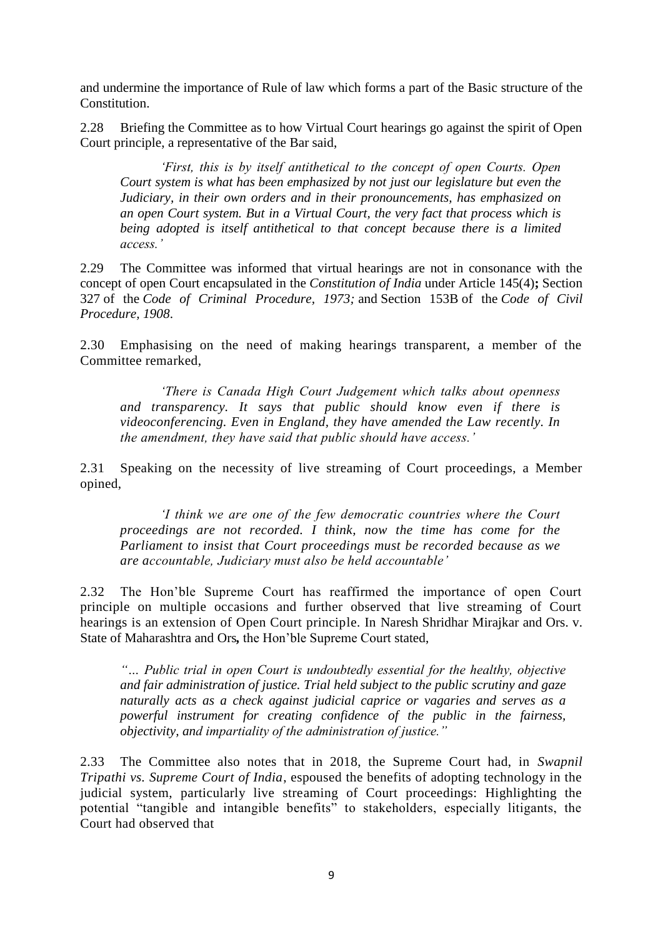and undermine the importance of Rule of law which forms a part of the Basic structure of the Constitution.

2.28 Briefing the Committee as to how Virtual Court hearings go against the spirit of Open Court principle, a representative of the Bar said,

*'First, this is by itself antithetical to the concept of open Courts. Open Court system is what has been emphasized by not just our legislature but even the Judiciary, in their own orders and in their pronouncements, has emphasized on an open Court system. But in a Virtual Court, the very fact that process which is being adopted is itself antithetical to that concept because there is a limited access.'*

2.29 The Committee was informed that virtual hearings are not in consonance with the concept of open Court encapsulated in the *Constitution of India* under Article 145(4)**;** Section 327 of the *Code of Criminal Procedure, 1973;* and Section 153B of the *Code of Civil Procedure, 1908*.

2.30 Emphasising on the need of making hearings transparent, a member of the Committee remarked,

*'There is Canada High Court Judgement which talks about openness and transparency. It says that public should know even if there is videoconferencing. Even in England, they have amended the Law recently. In the amendment, they have said that public should have access.'* 

2.31 Speaking on the necessity of live streaming of Court proceedings, a Member opined,

*'I think we are one of the few democratic countries where the Court proceedings are not recorded. I think, now the time has come for the Parliament to insist that Court proceedings must be recorded because as we are accountable, Judiciary must also be held accountable'*

2.32 The Hon'ble Supreme Court has reaffirmed the importance of open Court principle on multiple occasions and further observed that live streaming of Court hearings is an extension of Open Court principle. In [Naresh Shridhar Mirajkar and Ors. v.](https://indiankanoon.org/doc/1643138/)  [State of Maharashtra and Ors](https://indiankanoon.org/doc/1643138/)*,* the Hon'ble Supreme Court stated,

*"… Public trial in open Court is undoubtedly essential for the healthy, objective and fair administration of justice. Trial held subject to the public scrutiny and gaze naturally acts as a check against judicial caprice or vagaries and serves as a powerful instrument for creating confidence of the public in the fairness, objectivity, and impartiality of the administration of justice."*

2.33 The Committee also notes that in 2018, the Supreme Court had, in *Swapnil Tripathi vs. Supreme Court of India*, espoused the benefits of adopting technology in the judicial system, particularly live streaming of Court proceedings: Highlighting the potential "tangible and intangible benefits" to stakeholders, especially litigants, the Court had observed that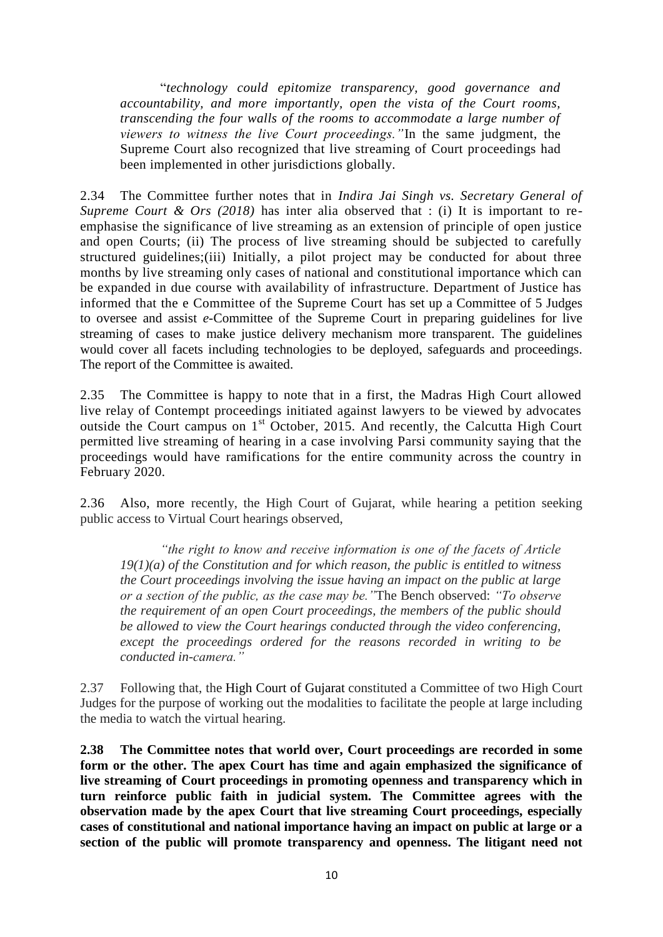"*technology could epitomize transparency, good governance and accountability, and more importantly, open the vista of the Court rooms, transcending the four walls of the rooms to accommodate a large number of viewers to witness the live Court proceedings."*In the same judgment, the Supreme Court also recognized that live streaming of Court proceedings had been implemented in other jurisdictions globally.

2.34 The Committee further notes that in *Indira Jai Singh vs. Secretary General of Supreme Court & Ors (2018)* has inter alia observed that : (i) It is important to reemphasise the significance of live streaming as an extension of principle of open justice and open Courts; (ii) The process of live streaming should be subjected to carefully structured guidelines;(iii) Initially, a pilot project may be conducted for about three months by live streaming only cases of national and constitutional importance which can be expanded in due course with availability of infrastructure. Department of Justice has informed that the e Committee of the Supreme Court has set up a Committee of 5 Judges to oversee and assist *e*-Committee of the Supreme Court in preparing guidelines for live streaming of cases to make justice delivery mechanism more transparent. The guidelines would cover all facets including technologies to be deployed, safeguards and proceedings. The report of the Committee is awaited.

2.35 The Committee is happy to note that in a first, the Madras High Court allowed live relay of Contempt proceedings initiated against lawyers to be viewed by advocates outside the Court campus on 1<sup>st</sup> October, 2015. And recently, the Calcutta High Court permitted live streaming of hearing in a case involving Parsi community saying that the proceedings would have ramifications for the entire community across the country in February 2020.

2.36 Also, more recently, the High Court of Gujarat, while hearing a petition seeking public access to Virtual Court hearings observed,

*"the right to know and receive information is one of the facets of Article 19(1)(a) of the Constitution and for which reason, the public is entitled to witness the Court proceedings involving the issue having an impact on the public at large or a section of the public, as the case may be."*The Bench observed: *"To observe the requirement of an open Court proceedings, the members of the public should be allowed to view the Court hearings conducted through the video conferencing, except the proceedings ordered for the reasons recorded in writing to be conducted in-camera."*

2.37 Following that, the [High Court of Gujarat](https://www.indialegallive.com/topic/gujarat-high-court) constituted a Committee of two High Court Judges for the purpose of working out the modalities to facilitate the people at large including the media to watch the virtual hearing.

**2.38 The Committee notes that world over, Court proceedings are recorded in some form or the other. The apex Court has time and again emphasized the significance of live streaming of Court proceedings in promoting openness and transparency which in turn reinforce public faith in judicial system. The Committee agrees with the observation made by the apex Court that live streaming Court proceedings, especially cases of constitutional and national importance having an impact on public at large or a section of the public will promote transparency and openness. The litigant need not**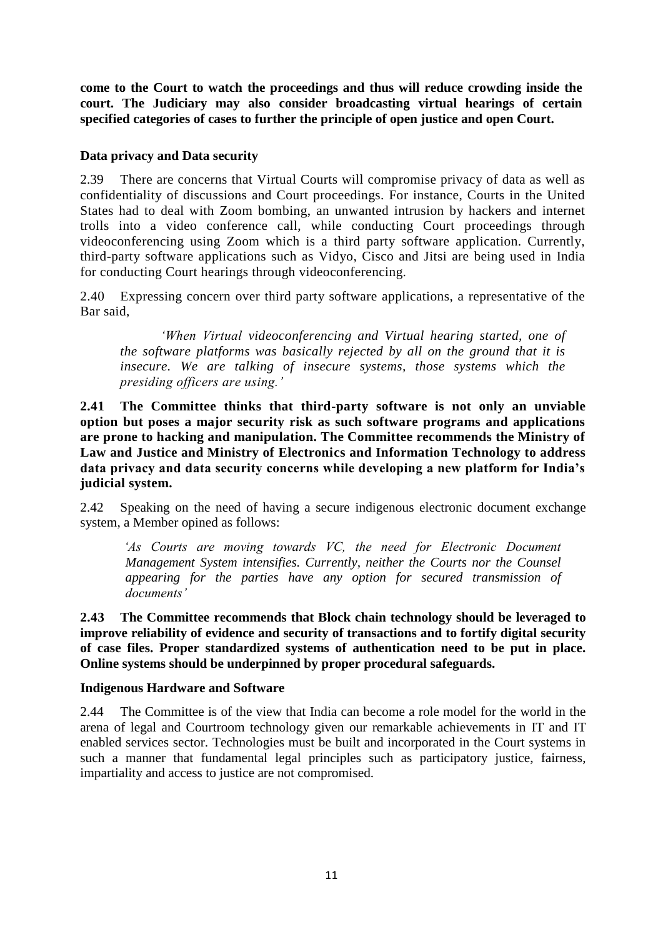**come to the Court to watch the proceedings and thus will reduce crowding inside the court. The Judiciary may also consider broadcasting virtual hearings of certain specified categories of cases to further the principle of open justice and open Court.**

### **Data privacy and Data security**

2.39 There are concerns that Virtual Courts will compromise privacy of data as well as confidentiality of discussions and Court proceedings. For instance, Courts in the United States had to deal with Zoom bombing, an unwanted intrusion by hackers and internet trolls into a video conference call, while conducting Court proceedings through videoconferencing using Zoom which is a third party software application. Currently, third-party software applications such as Vidyo, Cisco and Jitsi are being used in India for conducting Court hearings through videoconferencing.

2.40 Expressing concern over third party software applications, a representative of the Bar said,

*'When Virtual videoconferencing and Virtual hearing started, one of the software platforms was basically rejected by all on the ground that it is*  insecure. We are talking of insecure systems, those systems which the *presiding officers are using.'*

**2.41 The Committee thinks that third-party software is not only an unviable option but poses a major security risk as such software programs and applications are prone to hacking and manipulation. The Committee recommends the Ministry of Law and Justice and Ministry of Electronics and Information Technology to address data privacy and data security concerns while developing a new platform for India's judicial system.**

2.42 Speaking on the need of having a secure indigenous electronic document exchange system, a Member opined as follows:

*'As Courts are moving towards VC, the need for Electronic Document Management System intensifies. Currently, neither the Courts nor the Counsel appearing for the parties have any option for secured transmission of documents'*

**2.43 The Committee recommends that Block chain technology should be leveraged to improve reliability of evidence and security of transactions and to fortify digital security of case files. Proper standardized systems of authentication need to be put in place. Online systems should be underpinned by proper procedural safeguards.**

# **Indigenous Hardware and Software**

2.44 The Committee is of the view that India can become a role model for the world in the arena of legal and Courtroom technology given our remarkable achievements in IT and IT enabled services sector. Technologies must be built and incorporated in the Court systems in such a manner that fundamental legal principles such as participatory justice, fairness, impartiality and access to justice are not compromised.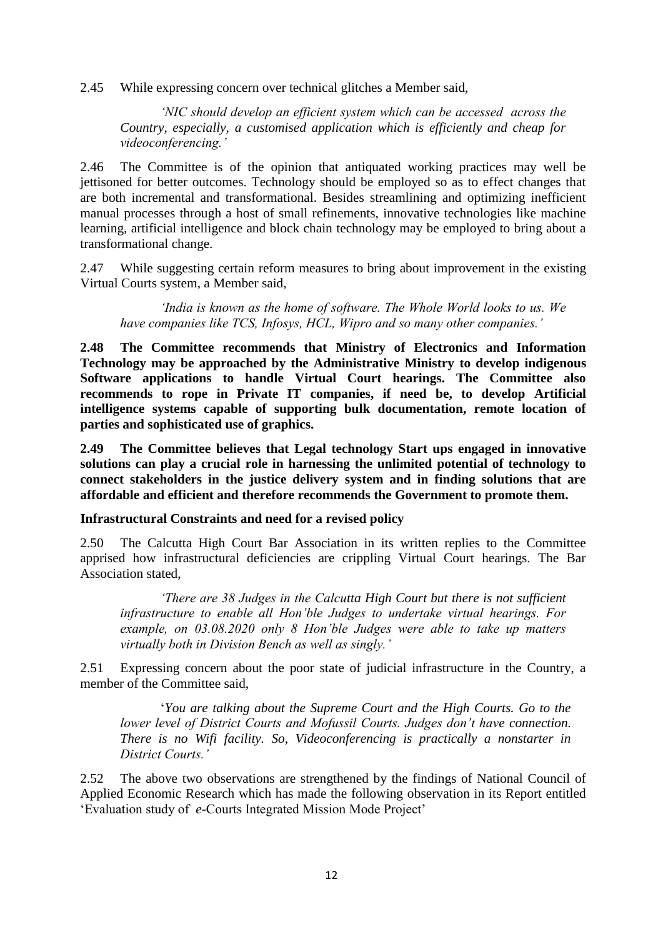2.45 While expressing concern over technical glitches a Member said,

*'NIC should develop an efficient system which can be accessed across the Country, especially, a customised application which is efficiently and cheap for videoconferencing.'*

2.46 The Committee is of the opinion that antiquated working practices may well be jettisoned for better outcomes. Technology should be employed so as to effect changes that are both incremental and transformational. Besides streamlining and optimizing inefficient manual processes through a host of small refinements, innovative technologies like machine learning, artificial intelligence and block chain technology may be employed to bring about a transformational change.

2.47 While suggesting certain reform measures to bring about improvement in the existing Virtual Courts system, a Member said,

*'India is known as the home of software. The Whole World looks to us. We have companies like TCS, Infosys, HCL, Wipro and so many other companies.'*

**2.48 The Committee recommends that Ministry of Electronics and Information Technology may be approached by the Administrative Ministry to develop indigenous Software applications to handle Virtual Court hearings. The Committee also recommends to rope in Private IT companies, if need be, to develop Artificial intelligence systems capable of supporting bulk documentation, remote location of parties and sophisticated use of graphics.** 

**2.49 The Committee believes that Legal technology Start ups engaged in innovative solutions can play a crucial role in harnessing the unlimited potential of technology to connect stakeholders in the justice delivery system and in finding solutions that are affordable and efficient and therefore recommends the Government to promote them.**

#### **Infrastructural Constraints and need for a revised policy**

2.50 The Calcutta High Court Bar Association in its written replies to the Committee apprised how infrastructural deficiencies are crippling Virtual Court hearings. The Bar Association stated,

*'There are 38 Judges in the Calcutta High Court but there is not sufficient infrastructure to enable all Hon'ble Judges to undertake virtual hearings. For example, on 03.08.2020 only 8 Hon'ble Judges were able to take up matters virtually both in Division Bench as well as singly.'*

2.51 Expressing concern about the poor state of judicial infrastructure in the Country, a member of the Committee said,

'*You are talking about the Supreme Court and the High Courts. Go to the lower level of District Courts and Mofussil Courts. Judges don't have connection. There is no Wifi facility. So, Videoconferencing is practically a nonstarter in District Courts.'*

2.52 The above two observations are strengthened by the findings of National Council of Applied Economic Research which has made the following observation in its Report entitled 'Evaluation study of *e-*Courts Integrated Mission Mode Project'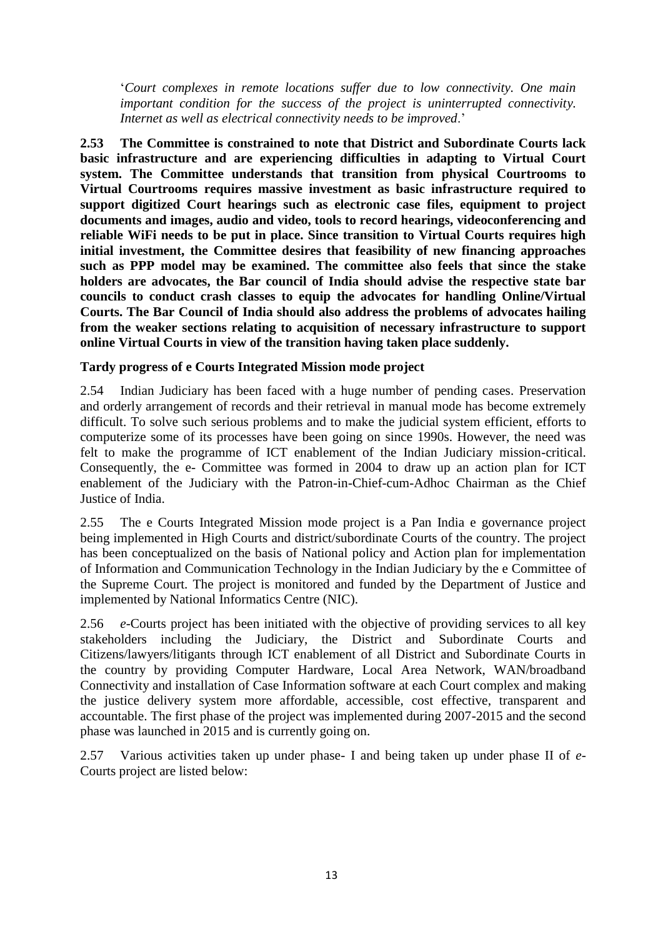'*Court complexes in remote locations suffer due to low connectivity. One main important condition for the success of the project is uninterrupted connectivity. Internet as well as electrical connectivity needs to be improved*.'

**2.53 The Committee is constrained to note that District and Subordinate Courts lack basic infrastructure and are experiencing difficulties in adapting to Virtual Court system. The Committee understands that transition from physical Courtrooms to Virtual Courtrooms requires massive investment as basic infrastructure required to support digitized Court hearings such as electronic case files, equipment to project documents and images, audio and video, tools to record hearings, videoconferencing and reliable WiFi needs to be put in place. Since transition to Virtual Courts requires high initial investment, the Committee desires that feasibility of new financing approaches such as PPP model may be examined. The committee also feels that since the stake holders are advocates, the Bar council of India should advise the respective state bar councils to conduct crash classes to equip the advocates for handling Online/Virtual Courts. The Bar Council of India should also address the problems of advocates hailing from the weaker sections relating to acquisition of necessary infrastructure to support online Virtual Courts in view of the transition having taken place suddenly.**

#### **Tardy progress of e Courts Integrated Mission mode project**

2.54 Indian Judiciary has been faced with a huge number of pending cases. Preservation and orderly arrangement of records and their retrieval in manual mode has become extremely difficult. To solve such serious problems and to make the judicial system efficient, efforts to computerize some of its processes have been going on since 1990s. However, the need was felt to make the programme of ICT enablement of the Indian Judiciary mission-critical. Consequently, the e- Committee was formed in 2004 to draw up an action plan for ICT enablement of the Judiciary with the Patron-in-Chief-cum-Adhoc Chairman as the Chief Justice of India.

2.55 The e Courts Integrated Mission mode project is a Pan India e governance project being implemented in High Courts and district/subordinate Courts of the country. The project has been conceptualized on the basis of National policy and Action plan for implementation of Information and Communication Technology in the Indian Judiciary by the e Committee of the Supreme Court. The project is monitored and funded by the Department of Justice and implemented by National Informatics Centre (NIC).

2.56 *e-*Courts project has been initiated with the objective of providing services to all key stakeholders including the Judiciary, the District and Subordinate Courts and Citizens/lawyers/litigants through ICT enablement of all District and Subordinate Courts in the country by providing Computer Hardware, Local Area Network, WAN/broadband Connectivity and installation of Case Information software at each Court complex and making the justice delivery system more affordable, accessible, cost effective, transparent and accountable. The first phase of the project was implemented during 2007-2015 and the second phase was launched in 2015 and is currently going on.

2.57 Various activities taken up under phase- I and being taken up under phase II of *e*-Courts project are listed below: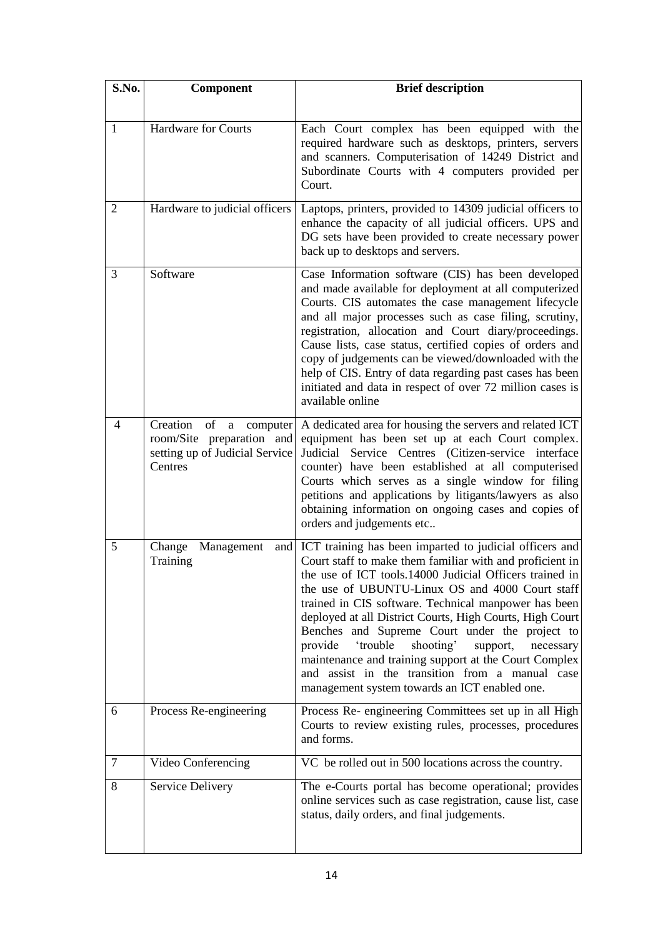| S.No. | Component                                                                                                            | <b>Brief description</b>                                                                                                                                                                                                                                                                                                                                                                                                                                                                                                                                                                                                              |
|-------|----------------------------------------------------------------------------------------------------------------------|---------------------------------------------------------------------------------------------------------------------------------------------------------------------------------------------------------------------------------------------------------------------------------------------------------------------------------------------------------------------------------------------------------------------------------------------------------------------------------------------------------------------------------------------------------------------------------------------------------------------------------------|
|       |                                                                                                                      |                                                                                                                                                                                                                                                                                                                                                                                                                                                                                                                                                                                                                                       |
| 1     | Hardware for Courts                                                                                                  | Each Court complex has been equipped with the<br>required hardware such as desktops, printers, servers<br>and scanners. Computerisation of 14249 District and<br>Subordinate Courts with 4 computers provided per<br>Court.                                                                                                                                                                                                                                                                                                                                                                                                           |
| 2     | Hardware to judicial officers                                                                                        | Laptops, printers, provided to 14309 judicial officers to<br>enhance the capacity of all judicial officers. UPS and<br>DG sets have been provided to create necessary power<br>back up to desktops and servers.                                                                                                                                                                                                                                                                                                                                                                                                                       |
| 3     | Software                                                                                                             | Case Information software (CIS) has been developed<br>and made available for deployment at all computerized<br>Courts. CIS automates the case management lifecycle<br>and all major processes such as case filing, scrutiny,<br>registration, allocation and Court diary/proceedings.<br>Cause lists, case status, certified copies of orders and<br>copy of judgements can be viewed/downloaded with the<br>help of CIS. Entry of data regarding past cases has been<br>initiated and data in respect of over 72 million cases is<br>available online                                                                                |
| 4     | Creation<br>of<br>computer<br>$\mathbf{a}$<br>room/Site preparation and<br>setting up of Judicial Service<br>Centres | A dedicated area for housing the servers and related ICT<br>equipment has been set up at each Court complex.<br>Judicial Service Centres (Citizen-service interface<br>counter) have been established at all computerised<br>Courts which serves as a single window for filing<br>petitions and applications by litigants/lawyers as also<br>obtaining information on ongoing cases and copies of<br>orders and judgements etc                                                                                                                                                                                                        |
| 5     | Change<br>Management<br>Training                                                                                     | and ICT training has been imparted to judicial officers and<br>Court staff to make them familiar with and proficient in<br>the use of ICT tools.14000 Judicial Officers trained in<br>the use of UBUNTU-Linux OS and 4000 Court staff<br>trained in CIS software. Technical manpower has been<br>deployed at all District Courts, High Courts, High Court<br>Benches and Supreme Court under the project to<br>provide<br>'trouble<br>shooting'<br>support,<br>necessary<br>maintenance and training support at the Court Complex<br>and assist in the transition from a manual case<br>management system towards an ICT enabled one. |
| 6     | Process Re-engineering                                                                                               | Process Re- engineering Committees set up in all High<br>Courts to review existing rules, processes, procedures<br>and forms.                                                                                                                                                                                                                                                                                                                                                                                                                                                                                                         |
| 7     | Video Conferencing                                                                                                   | VC be rolled out in 500 locations across the country.                                                                                                                                                                                                                                                                                                                                                                                                                                                                                                                                                                                 |
| 8     | Service Delivery                                                                                                     | The e-Courts portal has become operational; provides<br>online services such as case registration, cause list, case<br>status, daily orders, and final judgements.                                                                                                                                                                                                                                                                                                                                                                                                                                                                    |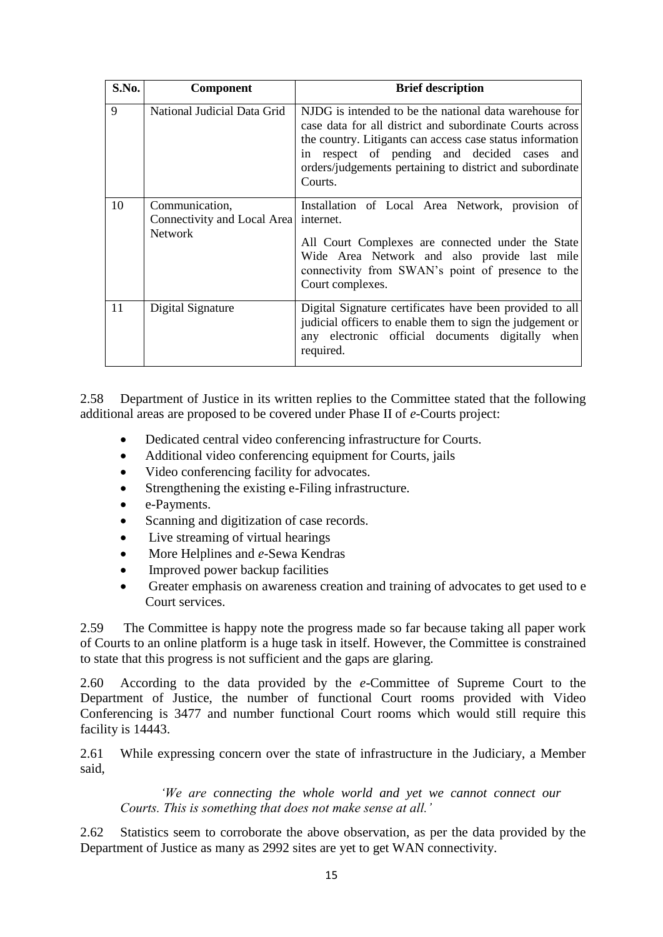| S.No. | <b>Component</b>                                                          | <b>Brief description</b>                                                                                                                                                                                                                                                                              |
|-------|---------------------------------------------------------------------------|-------------------------------------------------------------------------------------------------------------------------------------------------------------------------------------------------------------------------------------------------------------------------------------------------------|
| 9     | National Judicial Data Grid                                               | NJDG is intended to be the national data warehouse for<br>case data for all district and subordinate Courts across<br>the country. Litigants can access case status information<br>in respect of pending and decided cases and<br>orders/judgements pertaining to district and subordinate<br>Courts. |
| 10    | Communication,<br>Connectivity and Local Area internet.<br><b>Network</b> | Installation of Local Area Network, provision of<br>All Court Complexes are connected under the State<br>Wide Area Network and also provide last mile<br>connectivity from SWAN's point of presence to the<br>Court complexes.                                                                        |
| 11    | Digital Signature                                                         | Digital Signature certificates have been provided to all<br>judicial officers to enable them to sign the judgement or<br>any electronic official documents digitally when<br>required.                                                                                                                |

2.58 Department of Justice in its written replies to the Committee stated that the following additional areas are proposed to be covered under Phase II of *e-*Courts project:

- Dedicated central video conferencing infrastructure for Courts.
- Additional video conferencing equipment for Courts, jails
- Video conferencing facility for advocates.
- Strengthening the existing e-Filing infrastructure.
- e-Payments.
- Scanning and digitization of case records.
- Live streaming of virtual hearings
- More Helplines and *e-*Sewa Kendras
- Improved power backup facilities
- Greater emphasis on awareness creation and training of advocates to get used to e Court services.

2.59 The Committee is happy note the progress made so far because taking all paper work of Courts to an online platform is a huge task in itself. However, the Committee is constrained to state that this progress is not sufficient and the gaps are glaring.

2.60 According to the data provided by the *e*-Committee of Supreme Court to the Department of Justice, the number of functional Court rooms provided with Video Conferencing is 3477 and number functional Court rooms which would still require this facility is 14443.

2.61 While expressing concern over the state of infrastructure in the Judiciary, a Member said,

*'We are connecting the whole world and yet we cannot connect our Courts. This is something that does not make sense at all.'*

2.62 Statistics seem to corroborate the above observation, as per the data provided by the Department of Justice as many as 2992 sites are yet to get WAN connectivity.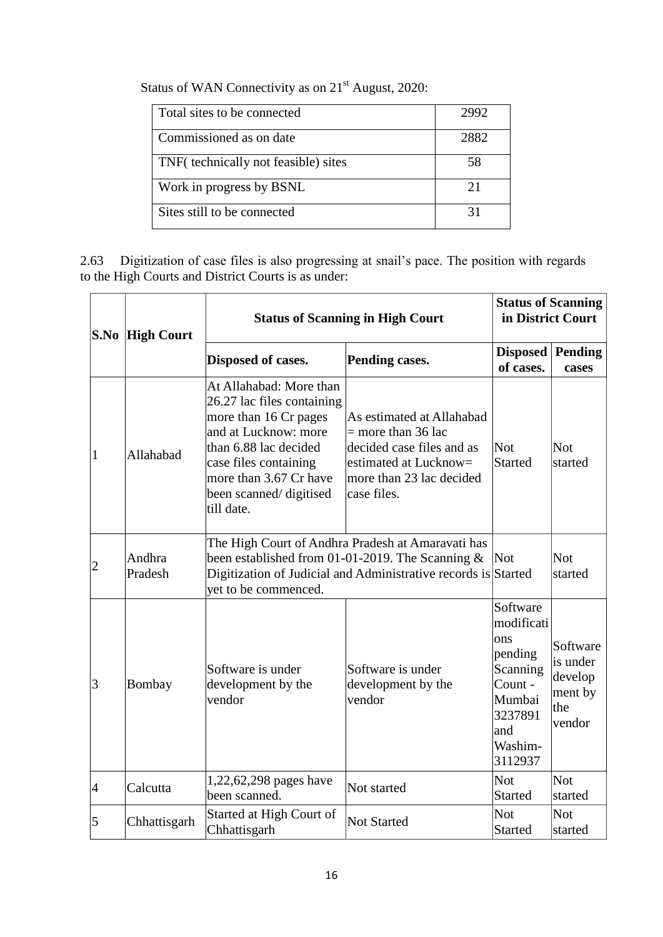| Status of WAN Connectivity as on 21 <sup>st</sup> August, 2020: |  |
|-----------------------------------------------------------------|--|
|-----------------------------------------------------------------|--|

| Total sites to be connected          | 2992 |
|--------------------------------------|------|
| Commissioned as on date              | 2882 |
| TNF (technically not feasible) sites | 58   |
| Work in progress by BSNL             |      |
| Sites still to be connected          |      |

2.63 Digitization of case files is also progressing at snail's pace. The position with regards to the High Courts and District Courts is as under:

|  |                | <b>S.No High Court</b> | <b>Status of Scanning in High Court</b>                                                                                                                                                                                    | <b>Status of Scanning</b><br>in District Court |                                                                                                                   |                                                             |
|--|----------------|------------------------|----------------------------------------------------------------------------------------------------------------------------------------------------------------------------------------------------------------------------|------------------------------------------------|-------------------------------------------------------------------------------------------------------------------|-------------------------------------------------------------|
|  |                |                        | Disposed of cases.                                                                                                                                                                                                         | Pending cases.                                 | <b>Disposed</b><br>of cases.                                                                                      | <b>Pending</b><br>cases                                     |
|  | 1              | Allahabad              | At Allahabad: More than<br>26.27 lac files containing<br>more than 16 Cr pages<br>and at Lucknow: more<br>than 6.88 lac decided<br>case files containing<br>more than 3.67 Cr have<br>been scanned/digitised<br>till date. | <b>Not</b><br><b>Started</b>                   | <b>Not</b><br>started                                                                                             |                                                             |
|  | $\overline{2}$ | Andhra<br>Pradesh      | The High Court of Andhra Pradesh at Amaravati has<br>been established from 01-01-2019. The Scanning $\&$<br>Digitization of Judicial and Administrative records is Started<br>yet to be commenced.                         |                                                | Not                                                                                                               | <b>Not</b><br>started                                       |
|  | 3              | Bombay                 | Software is under<br>Software is under<br>development by the<br>development by the<br>vendor<br>vendor                                                                                                                     |                                                | Software<br>modificati<br>ons<br>pending<br>Scanning<br>Count -<br>Mumbai<br>3237891<br>and<br>Washim-<br>3112937 | Software<br>is under<br>develop<br>ment by<br>the<br>vendor |
|  | $\overline{4}$ | Calcutta               | 1,22,62,298 pages have<br>been scanned.                                                                                                                                                                                    | Not started                                    | <b>Not</b><br><b>Started</b>                                                                                      | <b>Not</b><br>started                                       |
|  | 5              | Chhattisgarh           | Started at High Court of<br>Chhattisgarh                                                                                                                                                                                   | <b>Not Started</b>                             | <b>Not</b><br><b>Started</b>                                                                                      | <b>Not</b><br>started                                       |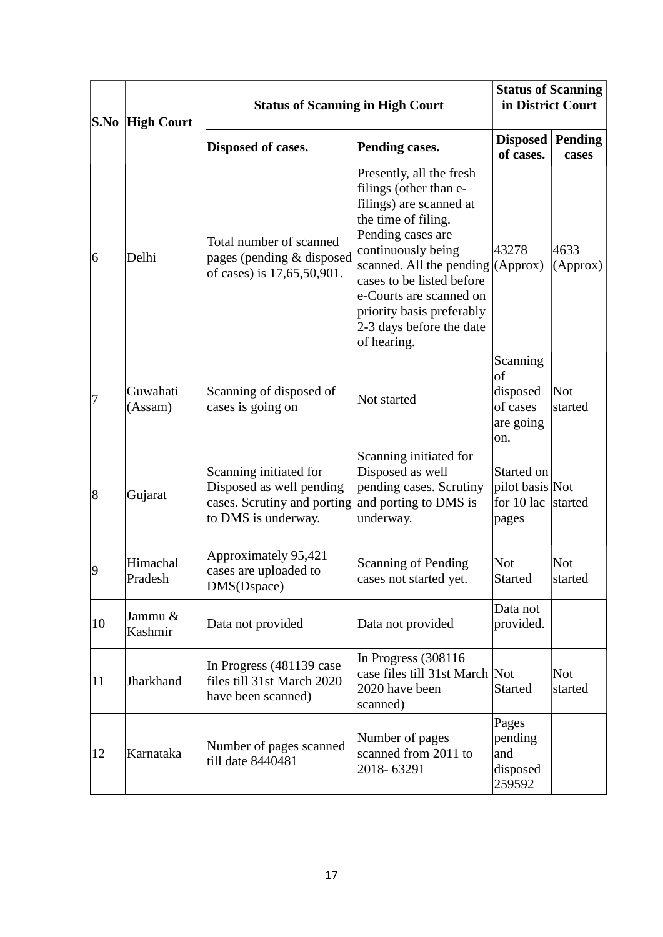| S.No | <b>High Court</b>   | <b>Status of Scanning in High Court</b>                                                                  |                                                                                                                                                                                                                                                                                                             | <b>Status of Scanning</b><br>in District Court                 |                       |
|------|---------------------|----------------------------------------------------------------------------------------------------------|-------------------------------------------------------------------------------------------------------------------------------------------------------------------------------------------------------------------------------------------------------------------------------------------------------------|----------------------------------------------------------------|-----------------------|
|      |                     | Disposed of cases.                                                                                       | Pending cases.                                                                                                                                                                                                                                                                                              | <b>Disposed</b> Pending<br>of cases.                           | cases                 |
| 6    | Delhi               | Total number of scanned<br>pages (pending & disposed<br>of cases) is 17,65,50,901.                       | Presently, all the fresh<br>filings (other than e-<br>filings) are scanned at<br>the time of filing.<br>Pending cases are<br>continuously being<br>scanned. All the pending<br>cases to be listed before<br>e-Courts are scanned on<br>priority basis preferably<br>2-3 days before the date<br>of hearing. | 43278<br>(Approx)                                              | 4633<br>(Approx)      |
| 7    | Guwahati<br>(Assam) | Scanning of disposed of<br>cases is going on                                                             | Not started                                                                                                                                                                                                                                                                                                 | Scanning<br>of<br>disposed<br>of cases<br>are going<br>on.     | <b>Not</b><br>started |
| 8    | Gujarat             | Scanning initiated for<br>Disposed as well pending<br>cases. Scrutiny and porting<br>to DMS is underway. | Scanning initiated for<br>Disposed as well<br>pending cases. Scrutiny<br>and porting to DMS is<br>underway.                                                                                                                                                                                                 | Started on<br>pilot basis Not<br>for $10 \text{ lac}$<br>pages | started               |
| 9    | Himachal<br>Pradesh | Approximately 95,421<br>cases are uploaded to<br>DMS(Dspace)                                             | <b>Scanning of Pending</b><br>cases not started yet.                                                                                                                                                                                                                                                        | <b>Not</b><br><b>Started</b>                                   | <b>Not</b><br>started |
| 10   | Jammu &<br>Kashmir  | Data not provided                                                                                        | Data not provided                                                                                                                                                                                                                                                                                           | Data not<br>provided.                                          |                       |
| 11   | Jharkhand           | In Progress (481139 case)<br>files till 31st March 2020<br>have been scanned)                            | In Progress (308116)<br>case files till 31st March Not<br>2020 have been<br>scanned)                                                                                                                                                                                                                        | <b>Started</b>                                                 | <b>Not</b><br>started |
| 12   | Karnataka           | Number of pages scanned<br>till date 8440481                                                             | Number of pages<br>scanned from 2011 to<br>2018-63291                                                                                                                                                                                                                                                       | Pages<br>pending<br>and<br>disposed<br>259592                  |                       |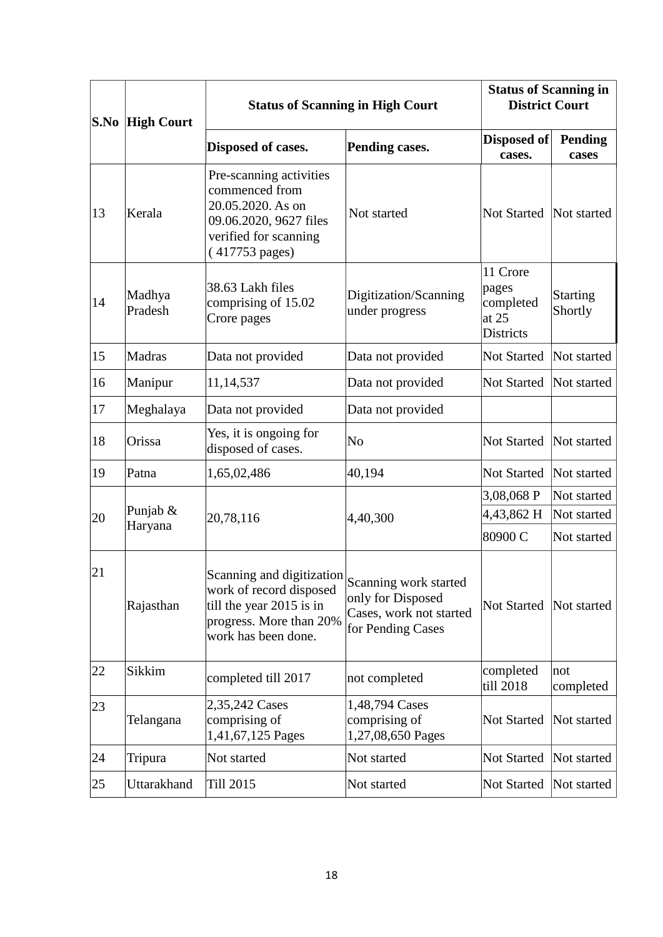| S.No | <b>High Court</b>     | <b>Status of Scanning in High Court</b>                                                                                             |                                                                                            | <b>Status of Scanning in</b><br><b>District Court</b>       |                            |
|------|-----------------------|-------------------------------------------------------------------------------------------------------------------------------------|--------------------------------------------------------------------------------------------|-------------------------------------------------------------|----------------------------|
|      |                       | Disposed of cases.                                                                                                                  | Pending cases.                                                                             | Disposed of<br>cases.                                       | <b>Pending</b><br>cases    |
| 13   | Kerala                | Pre-scanning activities<br>commenced from<br>20.05.2020. As on<br>09.06.2020, 9627 files<br>verified for scanning<br>(417753 pages) | Not started                                                                                | <b>Not Started</b>                                          | Not started                |
| 14   | Madhya<br>Pradesh     | 38.63 Lakh files<br>comprising of 15.02<br>Crore pages                                                                              | Digitization/Scanning<br>under progress                                                    | 11 Crore<br>pages<br>completed<br>at 25<br><b>Districts</b> | <b>Starting</b><br>Shortly |
| 15   | Madras                | Data not provided                                                                                                                   | Data not provided                                                                          | <b>Not Started</b>                                          | Not started                |
| 16   | Manipur               | 11, 14, 537                                                                                                                         | Data not provided                                                                          | Not Started                                                 | Not started                |
| 17   | Meghalaya             | Data not provided                                                                                                                   | Data not provided                                                                          |                                                             |                            |
| 18   | Orissa                | Yes, it is ongoing for<br>disposed of cases.                                                                                        | No                                                                                         | Not Started                                                 | Not started                |
| 19   | Patna                 | 1,65,02,486                                                                                                                         | 40,194                                                                                     | Not Started                                                 | Not started                |
|      |                       |                                                                                                                                     |                                                                                            | 3,08,068 P                                                  | Not started                |
| 20   | Punjab $&$<br>Haryana | 20,78,116                                                                                                                           | 4,40,300                                                                                   | 4,43,862 H                                                  | Not started                |
|      |                       |                                                                                                                                     |                                                                                            | 80900 C                                                     | Not started                |
| 21   | Rajasthan             | Scanning and digitization<br>work of record disposed<br>till the year 2015 is in<br>progress. More than 20%<br>work has been done.  | Scanning work started<br>only for Disposed<br>Cases, work not started<br>for Pending Cases | <b>Not Started</b>                                          | Not started                |
| 22   | Sikkim                | completed till 2017                                                                                                                 | not completed                                                                              | completed<br>till 2018                                      | not<br>completed           |
| 23   | Telangana             | 2,35,242 Cases<br>comprising of<br>1,41,67,125 Pages                                                                                | 1,48,794 Cases<br>comprising of<br>1,27,08,650 Pages                                       | Not Started                                                 | Not started                |
| 24   | Tripura               | Not started                                                                                                                         | Not started                                                                                | Not Started                                                 | Not started                |
| 25   | Uttarakhand           | Till 2015                                                                                                                           | Not started                                                                                | <b>Not Started</b>                                          | Not started                |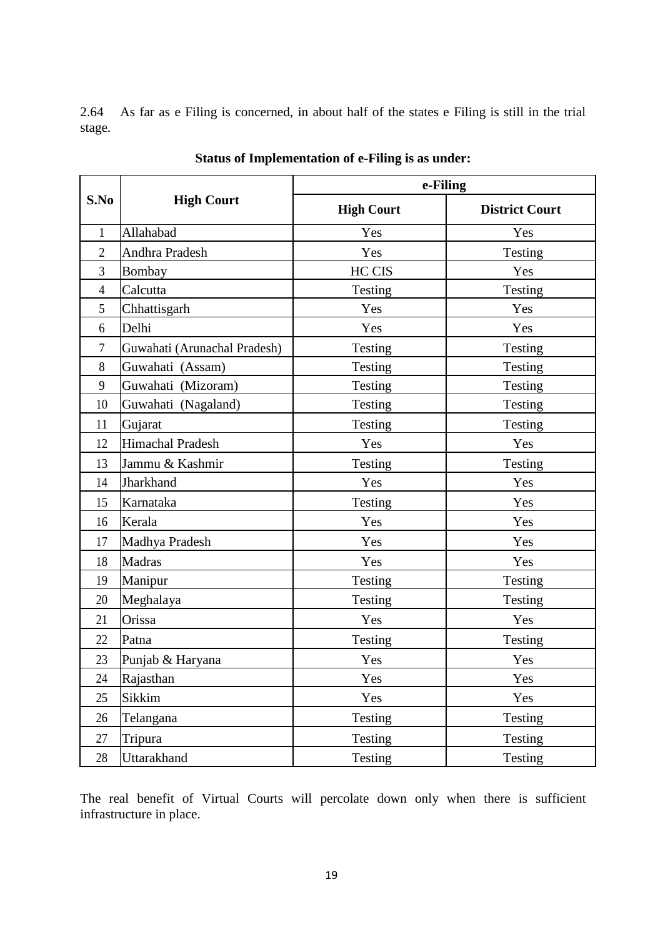2.64 As far as e Filing is concerned, in about half of the states e Filing is still in the trial stage.

|                |                              | e-Filing          |                       |  |
|----------------|------------------------------|-------------------|-----------------------|--|
| S.No           | <b>High Court</b>            | <b>High Court</b> | <b>District Court</b> |  |
| $\mathbf{1}$   | Allahabad                    | Yes               | Yes                   |  |
| $\overline{2}$ | Andhra Pradesh               | Yes               | Testing               |  |
| $\overline{3}$ | Bombay                       | HC CIS            | Yes                   |  |
| $\overline{4}$ | Calcutta                     | Testing           | Testing               |  |
| 5              | Chhattisgarh                 | Yes               | Yes                   |  |
| 6              | Delhi                        | Yes               | Yes                   |  |
| 7              | Guwahati (Arunachal Pradesh) | Testing           | Testing               |  |
| 8              | Guwahati (Assam)             | Testing           | Testing               |  |
| 9              | Guwahati (Mizoram)           | Testing           | Testing               |  |
| 10             | Guwahati (Nagaland)          | Testing           | Testing               |  |
| 11             | Gujarat                      | Testing           | Testing               |  |
| 12             | Himachal Pradesh             | Yes               | Yes                   |  |
| 13             | Jammu & Kashmir              | Testing           | Testing               |  |
| 14             | Jharkhand                    | Yes               | Yes                   |  |
| 15             | Karnataka                    | Testing           | Yes                   |  |
| 16             | Kerala                       | Yes               | Yes                   |  |
| 17             | Madhya Pradesh               | Yes               | Yes                   |  |
| 18             | <b>Madras</b>                | Yes               | Yes                   |  |
| 19             | Manipur                      | Testing           | Testing               |  |
| 20             | Meghalaya                    | Testing           | Testing               |  |
| 21             | Orissa                       | Yes               | Yes                   |  |
| 22             | Patna                        | Testing           | Testing               |  |
| 23             | Punjab & Haryana             | Yes               | Yes                   |  |
| 24             | Rajasthan                    | Yes               | Yes                   |  |
| 25             | Sikkim                       | Yes               | Yes                   |  |
| 26             | Telangana                    | Testing           | Testing               |  |
| 27             | Tripura                      | Testing           | Testing               |  |
| 28             | Uttarakhand                  | Testing           | Testing               |  |

**Status of Implementation of e-Filing is as under:**

The real benefit of Virtual Courts will percolate down only when there is sufficient infrastructure in place.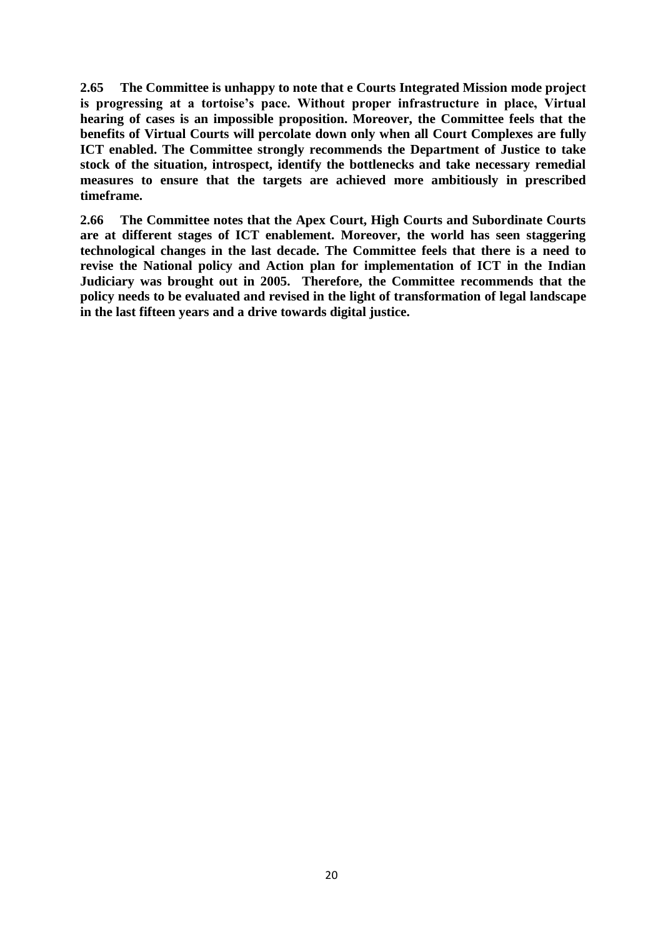**2.65 The Committee is unhappy to note that e Courts Integrated Mission mode project is progressing at a tortoise's pace. Without proper infrastructure in place, Virtual hearing of cases is an impossible proposition. Moreover, the Committee feels that the benefits of Virtual Courts will percolate down only when all Court Complexes are fully ICT enabled. The Committee strongly recommends the Department of Justice to take stock of the situation, introspect, identify the bottlenecks and take necessary remedial measures to ensure that the targets are achieved more ambitiously in prescribed timeframe.**

**2.66 The Committee notes that the Apex Court, High Courts and Subordinate Courts are at different stages of ICT enablement. Moreover, the world has seen staggering technological changes in the last decade. The Committee feels that there is a need to revise the National policy and Action plan for implementation of ICT in the Indian Judiciary was brought out in 2005. Therefore, the Committee recommends that the policy needs to be evaluated and revised in the light of transformation of legal landscape in the last fifteen years and a drive towards digital justice.**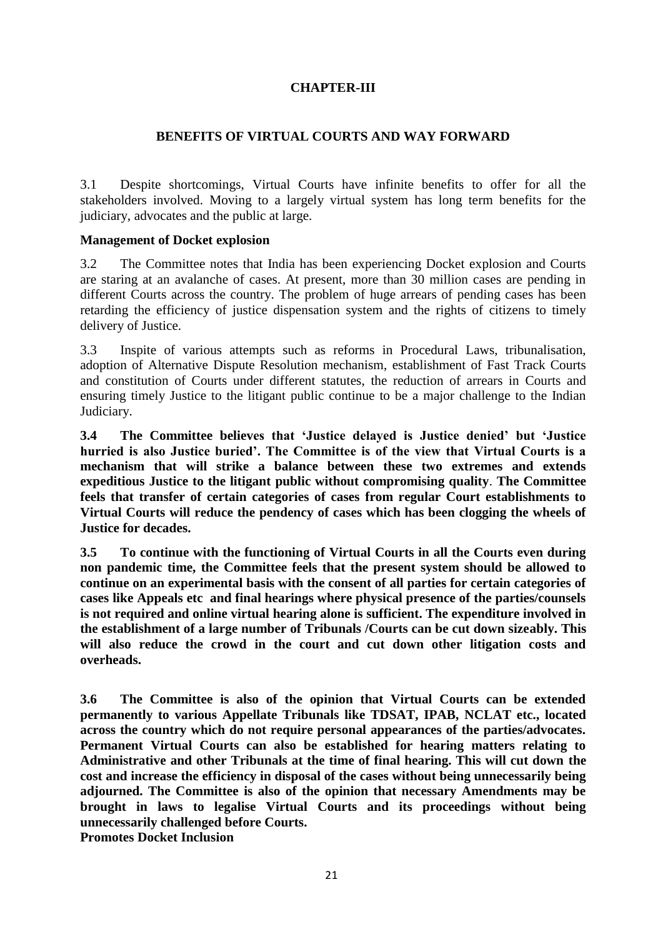# **CHAPTER-III**

#### **BENEFITS OF VIRTUAL COURTS AND WAY FORWARD**

3.1 Despite shortcomings, Virtual Courts have infinite benefits to offer for all the stakeholders involved. Moving to a largely virtual system has long term benefits for the judiciary, advocates and the public at large.

#### **Management of Docket explosion**

3.2 The Committee notes that India has been experiencing Docket explosion and Courts are staring at an avalanche of cases. At present, more than 30 million cases are pending in different Courts across the country. The problem of huge arrears of pending cases has been retarding the efficiency of justice dispensation system and the rights of citizens to timely delivery of Justice.

3.3 Inspite of various attempts such as reforms in Procedural Laws, tribunalisation, adoption of Alternative Dispute Resolution mechanism, establishment of Fast Track Courts and constitution of Courts under different statutes, the reduction of arrears in Courts and ensuring timely Justice to the litigant public continue to be a major challenge to the Indian Judiciary.

**3.4 The Committee believes that 'Justice delayed is Justice denied' but 'Justice hurried is also Justice buried'. The Committee is of the view that Virtual Courts is a mechanism that will strike a balance between these two extremes and extends expeditious Justice to the litigant public without compromising quality**. **The Committee feels that transfer of certain categories of cases from regular Court establishments to Virtual Courts will reduce the pendency of cases which has been clogging the wheels of Justice for decades.**

**3.5 To continue with the functioning of Virtual Courts in all the Courts even during non pandemic time, the Committee feels that the present system should be allowed to continue on an experimental basis with the consent of all parties for certain categories of cases like Appeals etc and final hearings where physical presence of the parties/counsels is not required and online virtual hearing alone is sufficient. The expenditure involved in the establishment of a large number of Tribunals /Courts can be cut down sizeably. This will also reduce the crowd in the court and cut down other litigation costs and overheads.**

**3.6 The Committee is also of the opinion that Virtual Courts can be extended permanently to various Appellate Tribunals like TDSAT, IPAB, NCLAT etc., located across the country which do not require personal appearances of the parties/advocates. Permanent Virtual Courts can also be established for hearing matters relating to Administrative and other Tribunals at the time of final hearing. This will cut down the cost and increase the efficiency in disposal of the cases without being unnecessarily being adjourned. The Committee is also of the opinion that necessary Amendments may be brought in laws to legalise Virtual Courts and its proceedings without being unnecessarily challenged before Courts. Promotes Docket Inclusion**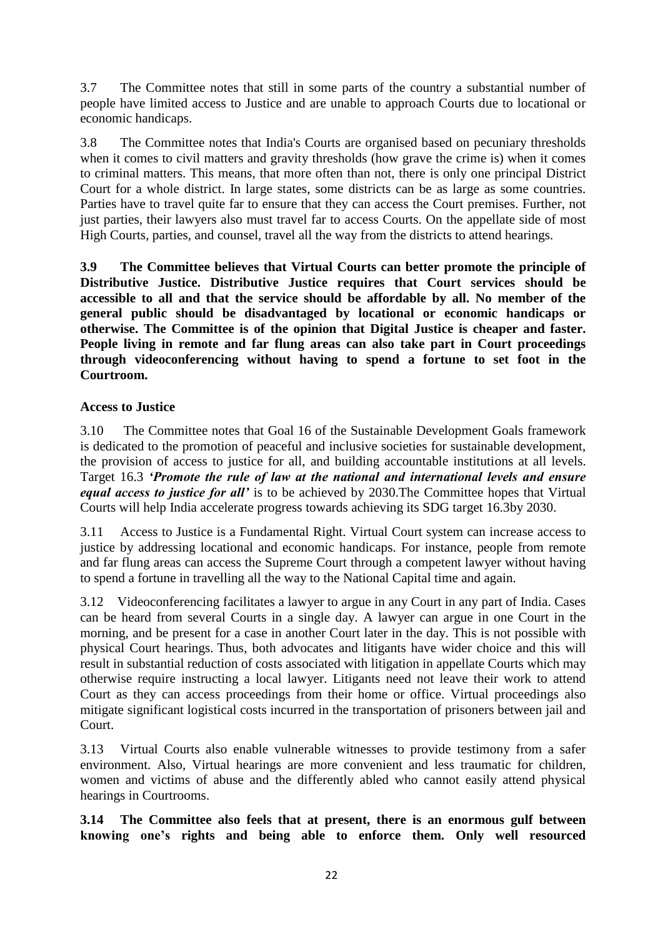3.7 The Committee notes that still in some parts of the country a substantial number of people have limited access to Justice and are unable to approach Courts due to locational or economic handicaps.

3.8 The Committee notes that India's Courts are organised based on pecuniary thresholds when it comes to civil matters and gravity thresholds (how grave the crime is) when it comes to criminal matters. This means, that more often than not, there is only one principal District Court for a whole district. In large states, some districts can be as large as some countries. Parties have to travel quite far to ensure that they can access the Court premises. Further, not just parties, their lawyers also must travel far to access Courts. On the appellate side of most High Courts, parties, and counsel, travel all the way from the districts to attend hearings.

**3.9 The Committee believes that Virtual Courts can better promote the principle of Distributive Justice. Distributive Justice requires that Court services should be accessible to all and that the service should be affordable by all. No member of the general public should be disadvantaged by locational or economic handicaps or otherwise. The Committee is of the opinion that Digital Justice is cheaper and faster. People living in remote and far flung areas can also take part in Court proceedings through videoconferencing without having to spend a fortune to set foot in the Courtroom.**

# **Access to Justice**

3.10 The Committee notes that Goal 16 of the Sustainable Development Goals framework is dedicated to the promotion of peaceful and inclusive societies for sustainable development, the provision of access to justice for all, and building accountable institutions at all levels. Target 16.3 *'Promote the rule of law at the national and international levels and ensure equal access to justice for all'* is to be achieved by 2030.The Committee hopes that Virtual Courts will help India accelerate progress towards achieving its SDG target 16.3by 2030.

3.11 Access to Justice is a Fundamental Right. Virtual Court system can increase access to justice by addressing locational and economic handicaps. For instance, people from remote and far flung areas can access the Supreme Court through a competent lawyer without having to spend a fortune in travelling all the way to the National Capital time and again.

3.12 Videoconferencing facilitates a lawyer to argue in any Court in any part of India. Cases can be heard from several Courts in a single day. A lawyer can argue in one Court in the morning, and be present for a case in another Court later in the day. This is not possible with physical Court hearings. Thus, both advocates and litigants have wider choice and this will result in substantial reduction of costs associated with litigation in appellate Courts which may otherwise require instructing a local lawyer. Litigants need not leave their work to attend Court as they can access proceedings from their home or office. Virtual proceedings also mitigate significant logistical costs incurred in the transportation of prisoners between jail and Court.

3.13 Virtual Courts also enable vulnerable witnesses to provide testimony from a safer environment. Also, Virtual hearings are more convenient and less traumatic for children, women and victims of abuse and the differently abled who cannot easily attend physical hearings in Courtrooms.

**3.14 The Committee also feels that at present, there is an enormous gulf between knowing one's rights and being able to enforce them. Only well resourced**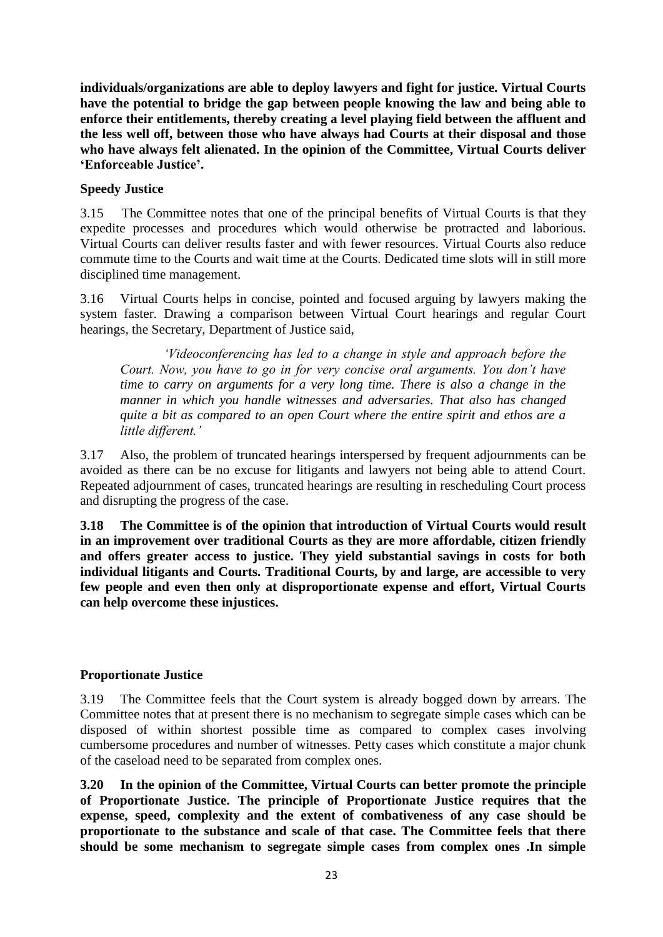**individuals/organizations are able to deploy lawyers and fight for justice. Virtual Courts have the potential to bridge the gap between people knowing the law and being able to enforce their entitlements, thereby creating a level playing field between the affluent and the less well off, between those who have always had Courts at their disposal and those who have always felt alienated. In the opinion of the Committee, Virtual Courts deliver 'Enforceable Justice'.** 

# **Speedy Justice**

3.15 The Committee notes that one of the principal benefits of Virtual Courts is that they expedite processes and procedures which would otherwise be protracted and laborious. Virtual Courts can deliver results faster and with fewer resources. Virtual Courts also reduce commute time to the Courts and wait time at the Courts. Dedicated time slots will in still more disciplined time management.

3.16 Virtual Courts helps in concise, pointed and focused arguing by lawyers making the system faster. Drawing a comparison between Virtual Court hearings and regular Court hearings, the Secretary, Department of Justice said,

*'Videoconferencing has led to a change in style and approach before the Court. Now, you have to go in for very concise oral arguments. You don't have time to carry on arguments for a very long time. There is also a change in the manner in which you handle witnesses and adversaries. That also has changed quite a bit as compared to an open Court where the entire spirit and ethos are a little different.'*

3.17 Also, the problem of truncated hearings interspersed by frequent adjournments can be avoided as there can be no excuse for litigants and lawyers not being able to attend Court. Repeated adjournment of cases, truncated hearings are resulting in rescheduling Court process and disrupting the progress of the case.

**3.18 The Committee is of the opinion that introduction of Virtual Courts would result in an improvement over traditional Courts as they are more affordable, citizen friendly and offers greater access to justice. They yield substantial savings in costs for both individual litigants and Courts. Traditional Courts, by and large, are accessible to very few people and even then only at disproportionate expense and effort, Virtual Courts can help overcome these injustices.**

# **Proportionate Justice**

3.19 The Committee feels that the Court system is already bogged down by arrears. The Committee notes that at present there is no mechanism to segregate simple cases which can be disposed of within shortest possible time as compared to complex cases involving cumbersome procedures and number of witnesses. Petty cases which constitute a major chunk of the caseload need to be separated from complex ones.

**3.20 In the opinion of the Committee, Virtual Courts can better promote the principle of Proportionate Justice. The principle of Proportionate Justice requires that the expense, speed, complexity and the extent of combativeness of any case should be proportionate to the substance and scale of that case. The Committee feels that there should be some mechanism to segregate simple cases from complex ones .In simple**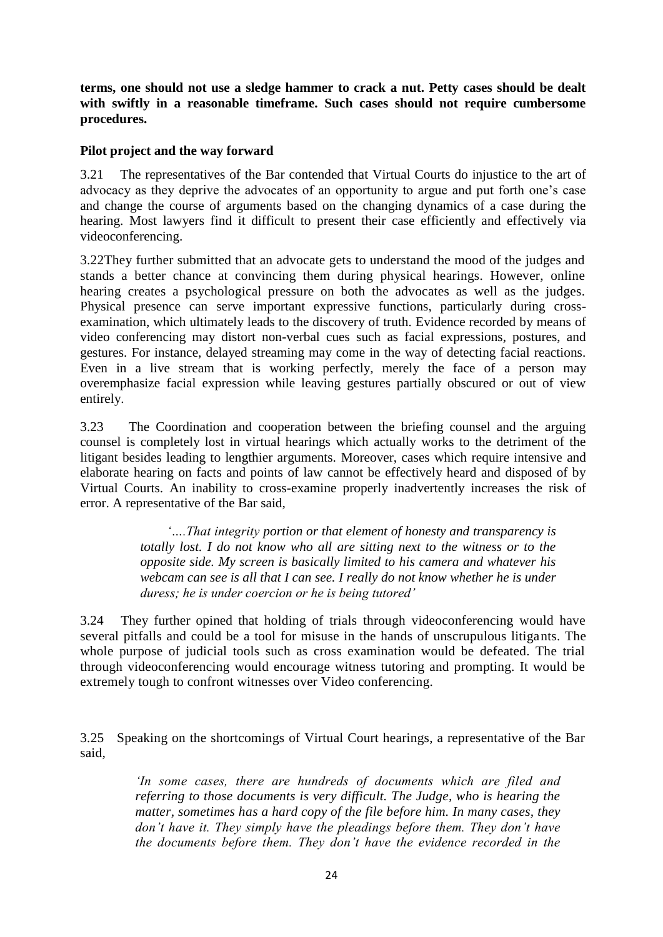**terms, one should not use a sledge hammer to crack a nut. Petty cases should be dealt with swiftly in a reasonable timeframe. Such cases should not require cumbersome procedures.**

#### **Pilot project and the way forward**

3.21 The representatives of the Bar contended that Virtual Courts do injustice to the art of advocacy as they deprive the advocates of an opportunity to argue and put forth one's case and change the course of arguments based on the changing dynamics of a case during the hearing. Most lawyers find it difficult to present their case efficiently and effectively via videoconferencing.

3.22They further submitted that an advocate gets to understand the mood of the judges and stands a better chance at convincing them during physical hearings. However, online hearing creates a psychological pressure on both the advocates as well as the judges. Physical presence can serve important expressive functions, particularly during crossexamination, which ultimately leads to the discovery of truth. Evidence recorded by means of video conferencing may distort non-verbal cues such as facial expressions, postures, and gestures. For instance, delayed streaming may come in the way of detecting facial reactions. Even in a live stream that is working perfectly, merely the face of a person may overemphasize facial expression while leaving gestures partially obscured or out of view entirely.

3.23 The Coordination and cooperation between the briefing counsel and the arguing counsel is completely lost in virtual hearings which actually works to the detriment of the litigant besides leading to lengthier arguments. Moreover, cases which require intensive and elaborate hearing on facts and points of law cannot be effectively heard and disposed of by Virtual Courts. An inability to cross-examine properly inadvertently increases the risk of error. A representative of the Bar said,

> *'….That integrity portion or that element of honesty and transparency is totally lost. I do not know who all are sitting next to the witness or to the opposite side. My screen is basically limited to his camera and whatever his webcam can see is all that I can see. I really do not know whether he is under duress; he is under coercion or he is being tutored'*

3.24 They further opined that holding of trials through videoconferencing would have several pitfalls and could be a tool for misuse in the hands of unscrupulous litigants. The whole purpose of judicial tools such as cross examination would be defeated. The trial through videoconferencing would encourage witness tutoring and prompting. It would be extremely tough to confront witnesses over Video conferencing.

3.25 Speaking on the shortcomings of Virtual Court hearings, a representative of the Bar said,

> *'In some cases, there are hundreds of documents which are filed and referring to those documents is very difficult. The Judge, who is hearing the matter, sometimes has a hard copy of the file before him. In many cases, they don't have it. They simply have the pleadings before them. They don't have the documents before them. They don't have the evidence recorded in the*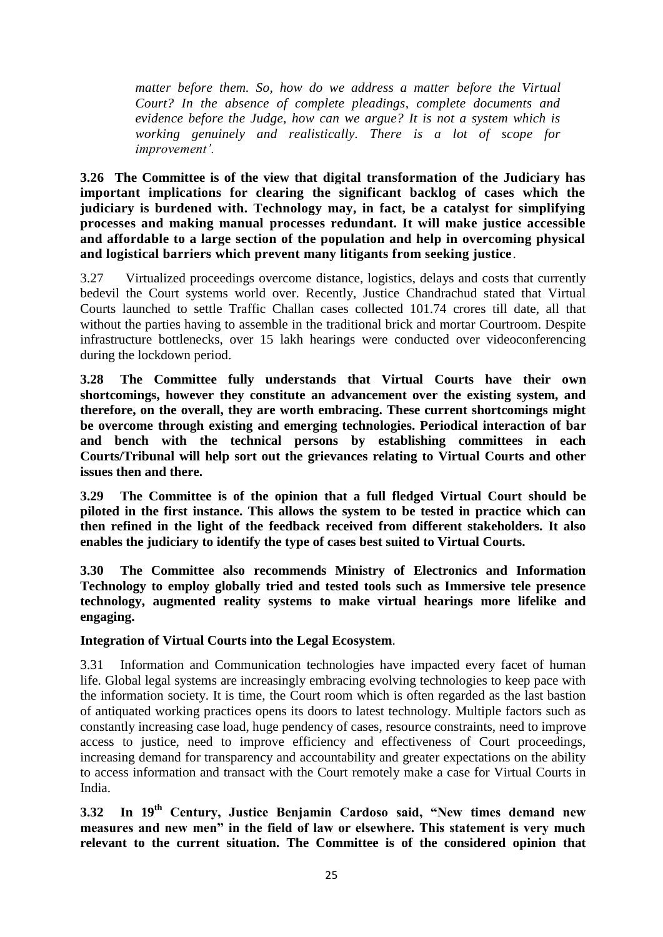*matter before them. So, how do we address a matter before the Virtual Court? In the absence of complete pleadings, complete documents and evidence before the Judge, how can we argue? It is not a system which is working genuinely and realistically. There is a lot of scope for improvement'.*

**3.26 The Committee is of the view that digital transformation of the Judiciary has important implications for clearing the significant backlog of cases which the judiciary is burdened with. Technology may, in fact, be a catalyst for simplifying processes and making manual processes redundant. It will make justice accessible and affordable to a large section of the population and help in overcoming physical and logistical barriers which prevent many litigants from seeking justice**.

3.27 Virtualized proceedings overcome distance, logistics, delays and costs that currently bedevil the Court systems world over. Recently, Justice Chandrachud stated that Virtual Courts launched to settle Traffic Challan cases collected 101.74 crores till date, all that without the parties having to assemble in the traditional brick and mortar Courtroom. Despite infrastructure bottlenecks, over 15 lakh hearings were conducted over videoconferencing during the lockdown period.

**3.28 The Committee fully understands that Virtual Courts have their own shortcomings, however they constitute an advancement over the existing system, and therefore, on the overall, they are worth embracing. These current shortcomings might be overcome through existing and emerging technologies. Periodical interaction of bar and bench with the technical persons by establishing committees in each Courts/Tribunal will help sort out the grievances relating to Virtual Courts and other issues then and there.**

**3.29 The Committee is of the opinion that a full fledged Virtual Court should be piloted in the first instance. This allows the system to be tested in practice which can then refined in the light of the feedback received from different stakeholders. It also enables the judiciary to identify the type of cases best suited to Virtual Courts.**

**3.30 The Committee also recommends Ministry of Electronics and Information Technology to employ globally tried and tested tools such as Immersive tele presence technology, augmented reality systems to make virtual hearings more lifelike and engaging.** 

# **Integration of Virtual Courts into the Legal Ecosystem**.

3.31 Information and Communication technologies have impacted every facet of human life. Global legal systems are increasingly embracing evolving technologies to keep pace with the information society. It is time, the Court room which is often regarded as the last bastion of antiquated working practices opens its doors to latest technology. Multiple factors such as constantly increasing case load, huge pendency of cases, resource constraints, need to improve access to justice, need to improve efficiency and effectiveness of Court proceedings, increasing demand for transparency and accountability and greater expectations on the ability to access information and transact with the Court remotely make a case for Virtual Courts in India.

**3.32 In 19th Century, Justice Benjamin Cardoso said, "New times demand new measures and new men" in the field of law or elsewhere. This statement is very much relevant to the current situation. The Committee is of the considered opinion that**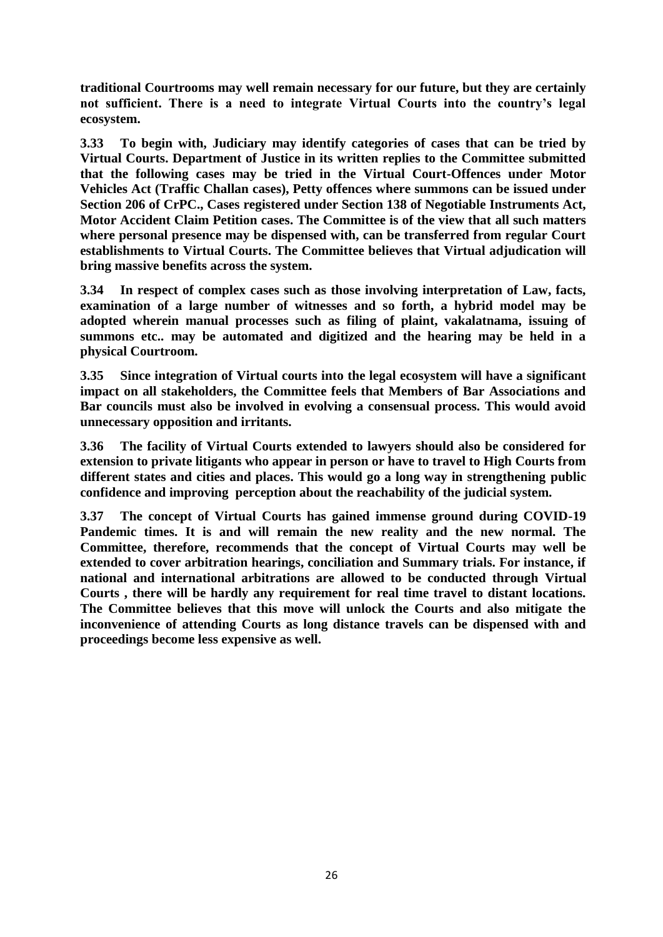**traditional Courtrooms may well remain necessary for our future, but they are certainly not sufficient. There is a need to integrate Virtual Courts into the country's legal ecosystem.**

**3.33 To begin with, Judiciary may identify categories of cases that can be tried by Virtual Courts. Department of Justice in its written replies to the Committee submitted that the following cases may be tried in the Virtual Court-Offences under Motor Vehicles Act (Traffic Challan cases), Petty offences where summons can be issued under Section 206 of CrPC., Cases registered under Section 138 of Negotiable Instruments Act, Motor Accident Claim Petition cases. The Committee is of the view that all such matters where personal presence may be dispensed with, can be transferred from regular Court establishments to Virtual Courts. The Committee believes that Virtual adjudication will bring massive benefits across the system.**

**3.34 In respect of complex cases such as those involving interpretation of Law, facts, examination of a large number of witnesses and so forth, a hybrid model may be adopted wherein manual processes such as filing of plaint, vakalatnama, issuing of summons etc.. may be automated and digitized and the hearing may be held in a physical Courtroom.**

**3.35 Since integration of Virtual courts into the legal ecosystem will have a significant impact on all stakeholders, the Committee feels that Members of Bar Associations and Bar councils must also be involved in evolving a consensual process. This would avoid unnecessary opposition and irritants.**

**3.36 The facility of Virtual Courts extended to lawyers should also be considered for extension to private litigants who appear in person or have to travel to High Courts from different states and cities and places. This would go a long way in strengthening public confidence and improving perception about the reachability of the judicial system.**

**3.37 The concept of Virtual Courts has gained immense ground during COVID-19 Pandemic times. It is and will remain the new reality and the new normal. The Committee, therefore, recommends that the concept of Virtual Courts may well be extended to cover arbitration hearings, conciliation and Summary trials. For instance, if national and international arbitrations are allowed to be conducted through Virtual Courts , there will be hardly any requirement for real time travel to distant locations. The Committee believes that this move will unlock the Courts and also mitigate the inconvenience of attending Courts as long distance travels can be dispensed with and proceedings become less expensive as well.**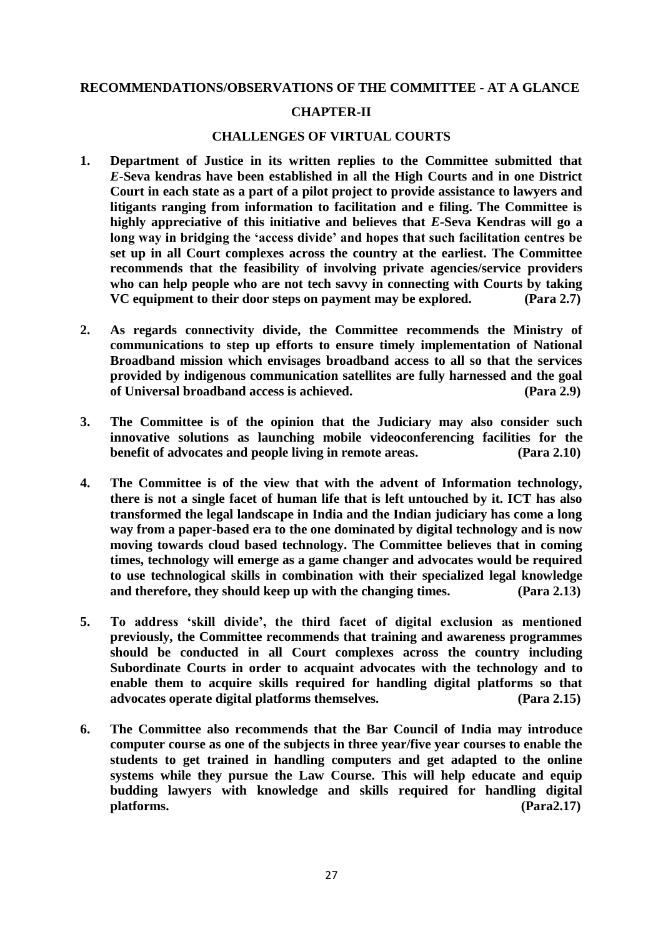#### **RECOMMENDATIONS/OBSERVATIONS OF THE COMMITTEE - AT A GLANCE**

#### **CHAPTER-II**

#### **CHALLENGES OF VIRTUAL COURTS**

- **1. Department of Justice in its written replies to the Committee submitted that**  *E***-Seva kendras have been established in all the High Courts and in one District Court in each state as a part of a pilot project to provide assistance to lawyers and litigants ranging from information to facilitation and e filing. The Committee is highly appreciative of this initiative and believes that** *E-***Seva Kendras will go a long way in bridging the 'access divide' and hopes that such facilitation centres be set up in all Court complexes across the country at the earliest. The Committee recommends that the feasibility of involving private agencies/service providers who can help people who are not tech savvy in connecting with Courts by taking VC equipment to their door steps on payment may be explored. (Para 2.7)**
- **2. As regards connectivity divide, the Committee recommends the Ministry of communications to step up efforts to ensure timely implementation of National Broadband mission which envisages broadband access to all so that the services provided by indigenous communication satellites are fully harnessed and the goal of Universal broadband access is achieved. (Para 2.9)**
- **3. The Committee is of the opinion that the Judiciary may also consider such innovative solutions as launching mobile videoconferencing facilities for the benefit of advocates and people living in remote areas. (Para 2.10)**
- **4. The Committee is of the view that with the advent of Information technology, there is not a single facet of human life that is left untouched by it. ICT has also transformed the legal landscape in India and the Indian judiciary has come a long way from a paper-based era to the one dominated by digital technology and is now moving towards cloud based technology. The Committee believes that in coming times, technology will emerge as a game changer and advocates would be required to use technological skills in combination with their specialized legal knowledge and therefore, they should keep up with the changing times. (Para 2.13)**
- **5. To address 'skill divide', the third facet of digital exclusion as mentioned previously, the Committee recommends that training and awareness programmes should be conducted in all Court complexes across the country including Subordinate Courts in order to acquaint advocates with the technology and to enable them to acquire skills required for handling digital platforms so that advocates operate digital platforms themselves. (Para 2.15)**
- **6. The Committee also recommends that the Bar Council of India may introduce computer course as one of the subjects in three year/five year courses to enable the students to get trained in handling computers and get adapted to the online systems while they pursue the Law Course. This will help educate and equip budding lawyers with knowledge and skills required for handling digital platforms. (Para2.17)**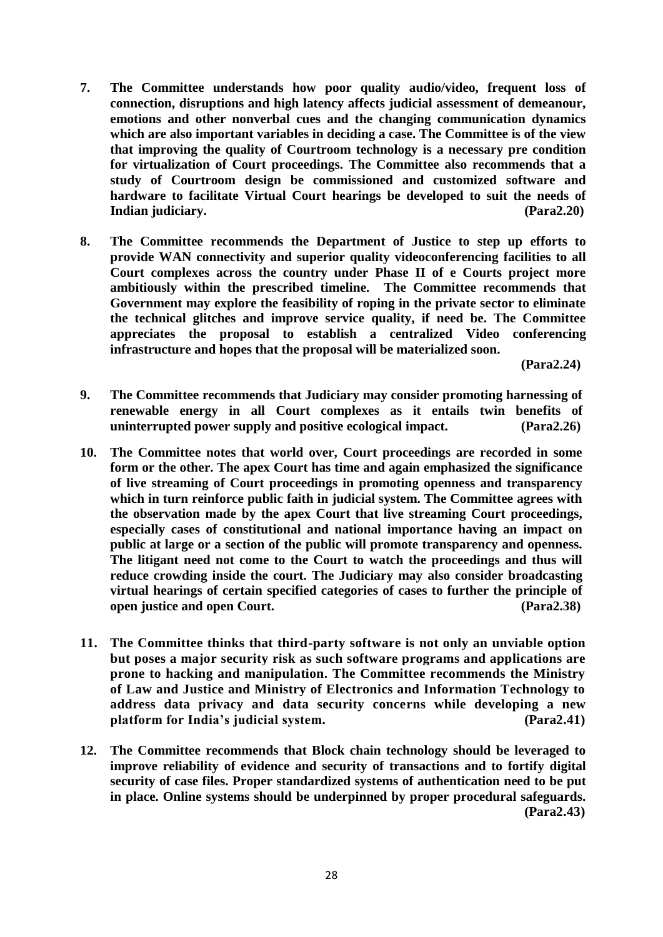- **7. The Committee understands how poor quality audio/video, frequent loss of connection, disruptions and high latency affects judicial assessment of demeanour, emotions and other nonverbal cues and the changing communication dynamics which are also important variables in deciding a case. The Committee is of the view that improving the quality of Courtroom technology is a necessary pre condition for virtualization of Court proceedings. The Committee also recommends that a study of Courtroom design be commissioned and customized software and hardware to facilitate Virtual Court hearings be developed to suit the needs of Indian judiciary. (Para2.20)**
- **8. The Committee recommends the Department of Justice to step up efforts to provide WAN connectivity and superior quality videoconferencing facilities to all Court complexes across the country under Phase II of e Courts project more ambitiously within the prescribed timeline. The Committee recommends that Government may explore the feasibility of roping in the private sector to eliminate the technical glitches and improve service quality, if need be. The Committee appreciates the proposal to establish a centralized Video conferencing infrastructure and hopes that the proposal will be materialized soon.**

**(Para2.24)**

- **9. The Committee recommends that Judiciary may consider promoting harnessing of renewable energy in all Court complexes as it entails twin benefits of uninterrupted power supply and positive ecological impact. (Para2.26)**
- **10. The Committee notes that world over, Court proceedings are recorded in some form or the other. The apex Court has time and again emphasized the significance of live streaming of Court proceedings in promoting openness and transparency which in turn reinforce public faith in judicial system. The Committee agrees with the observation made by the apex Court that live streaming Court proceedings, especially cases of constitutional and national importance having an impact on public at large or a section of the public will promote transparency and openness. The litigant need not come to the Court to watch the proceedings and thus will reduce crowding inside the court. The Judiciary may also consider broadcasting virtual hearings of certain specified categories of cases to further the principle of open justice and open Court.** (Para2.38)
- **11. The Committee thinks that third-party software is not only an unviable option but poses a major security risk as such software programs and applications are prone to hacking and manipulation. The Committee recommends the Ministry of Law and Justice and Ministry of Electronics and Information Technology to address data privacy and data security concerns while developing a new platform for India's judicial system. (Para2.41)**
- **12. The Committee recommends that Block chain technology should be leveraged to improve reliability of evidence and security of transactions and to fortify digital security of case files. Proper standardized systems of authentication need to be put in place. Online systems should be underpinned by proper procedural safeguards. (Para2.43)**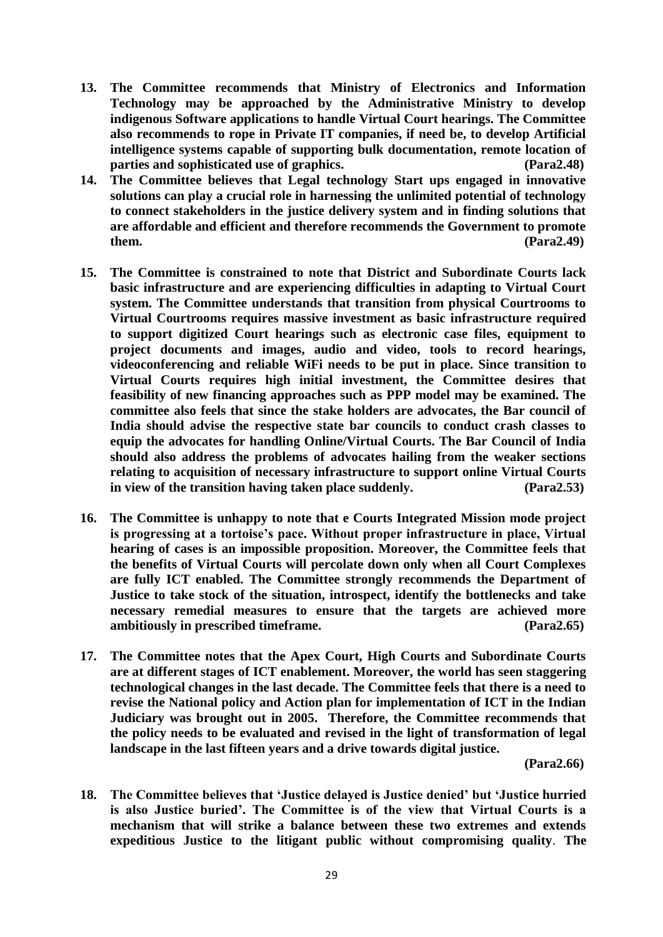- **13. The Committee recommends that Ministry of Electronics and Information Technology may be approached by the Administrative Ministry to develop indigenous Software applications to handle Virtual Court hearings. The Committee also recommends to rope in Private IT companies, if need be, to develop Artificial intelligence systems capable of supporting bulk documentation, remote location of parties and sophisticated use of graphics. (Para2.48)**
- **14. The Committee believes that Legal technology Start ups engaged in innovative solutions can play a crucial role in harnessing the unlimited potential of technology to connect stakeholders in the justice delivery system and in finding solutions that are affordable and efficient and therefore recommends the Government to promote them. (Para2.49)**
- **15. The Committee is constrained to note that District and Subordinate Courts lack basic infrastructure and are experiencing difficulties in adapting to Virtual Court system. The Committee understands that transition from physical Courtrooms to Virtual Courtrooms requires massive investment as basic infrastructure required to support digitized Court hearings such as electronic case files, equipment to project documents and images, audio and video, tools to record hearings, videoconferencing and reliable WiFi needs to be put in place. Since transition to Virtual Courts requires high initial investment, the Committee desires that feasibility of new financing approaches such as PPP model may be examined. The committee also feels that since the stake holders are advocates, the Bar council of India should advise the respective state bar councils to conduct crash classes to equip the advocates for handling Online/Virtual Courts. The Bar Council of India should also address the problems of advocates hailing from the weaker sections relating to acquisition of necessary infrastructure to support online Virtual Courts in view of the transition having taken place suddenly. (Para2.53)**
- **16. The Committee is unhappy to note that e Courts Integrated Mission mode project is progressing at a tortoise's pace. Without proper infrastructure in place, Virtual hearing of cases is an impossible proposition. Moreover, the Committee feels that the benefits of Virtual Courts will percolate down only when all Court Complexes are fully ICT enabled. The Committee strongly recommends the Department of Justice to take stock of the situation, introspect, identify the bottlenecks and take necessary remedial measures to ensure that the targets are achieved more ambitiously in prescribed timeframe. (Para2.65)**
- **17. The Committee notes that the Apex Court, High Courts and Subordinate Courts are at different stages of ICT enablement. Moreover, the world has seen staggering technological changes in the last decade. The Committee feels that there is a need to revise the National policy and Action plan for implementation of ICT in the Indian Judiciary was brought out in 2005. Therefore, the Committee recommends that the policy needs to be evaluated and revised in the light of transformation of legal landscape in the last fifteen years and a drive towards digital justice.**

**(Para2.66)**

**18. The Committee believes that 'Justice delayed is Justice denied' but 'Justice hurried is also Justice buried'. The Committee is of the view that Virtual Courts is a mechanism that will strike a balance between these two extremes and extends expeditious Justice to the litigant public without compromising quality**. **The**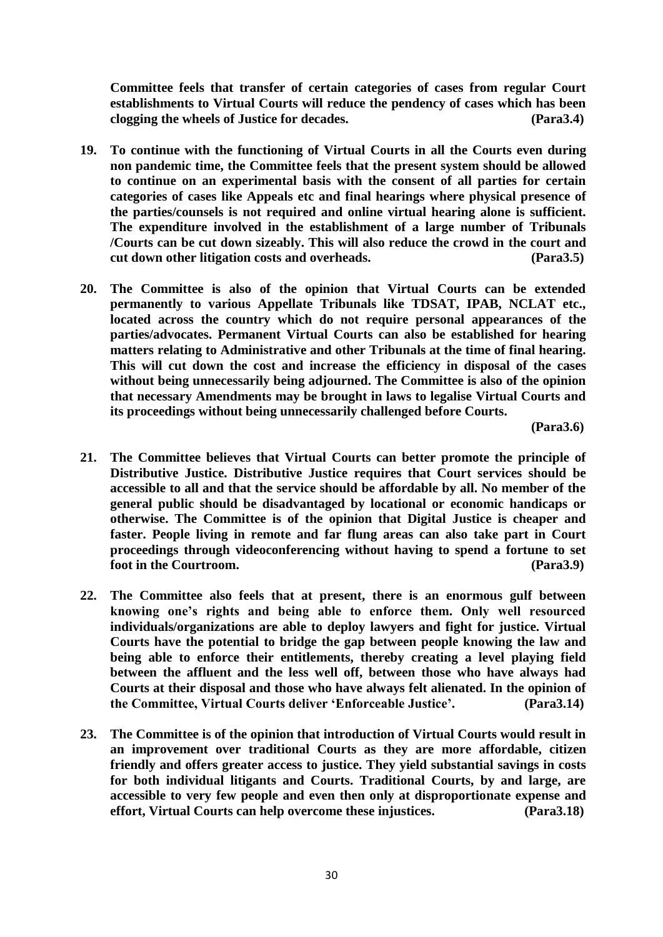**Committee feels that transfer of certain categories of cases from regular Court establishments to Virtual Courts will reduce the pendency of cases which has been clogging the wheels of Justice for decades. (Para3.4)**

- **19. To continue with the functioning of Virtual Courts in all the Courts even during non pandemic time, the Committee feels that the present system should be allowed to continue on an experimental basis with the consent of all parties for certain categories of cases like Appeals etc and final hearings where physical presence of the parties/counsels is not required and online virtual hearing alone is sufficient. The expenditure involved in the establishment of a large number of Tribunals /Courts can be cut down sizeably. This will also reduce the crowd in the court and cut down other litigation costs and overheads. (Para3.5)**
- **20. The Committee is also of the opinion that Virtual Courts can be extended permanently to various Appellate Tribunals like TDSAT, IPAB, NCLAT etc., located across the country which do not require personal appearances of the parties/advocates. Permanent Virtual Courts can also be established for hearing matters relating to Administrative and other Tribunals at the time of final hearing. This will cut down the cost and increase the efficiency in disposal of the cases without being unnecessarily being adjourned. The Committee is also of the opinion that necessary Amendments may be brought in laws to legalise Virtual Courts and its proceedings without being unnecessarily challenged before Courts.**

 **(Para3.6)**

- **21. The Committee believes that Virtual Courts can better promote the principle of Distributive Justice. Distributive Justice requires that Court services should be accessible to all and that the service should be affordable by all. No member of the general public should be disadvantaged by locational or economic handicaps or otherwise. The Committee is of the opinion that Digital Justice is cheaper and faster. People living in remote and far flung areas can also take part in Court proceedings through videoconferencing without having to spend a fortune to set foot in the Courtroom. (Para3.9)**
- **22. The Committee also feels that at present, there is an enormous gulf between knowing one's rights and being able to enforce them. Only well resourced individuals/organizations are able to deploy lawyers and fight for justice. Virtual Courts have the potential to bridge the gap between people knowing the law and being able to enforce their entitlements, thereby creating a level playing field between the affluent and the less well off, between those who have always had Courts at their disposal and those who have always felt alienated. In the opinion of the Committee, Virtual Courts deliver 'Enforceable Justice'. (Para3.14)**
- **23. The Committee is of the opinion that introduction of Virtual Courts would result in an improvement over traditional Courts as they are more affordable, citizen friendly and offers greater access to justice. They yield substantial savings in costs for both individual litigants and Courts. Traditional Courts, by and large, are accessible to very few people and even then only at disproportionate expense and effort, Virtual Courts can help overcome these injustices. (Para3.18)**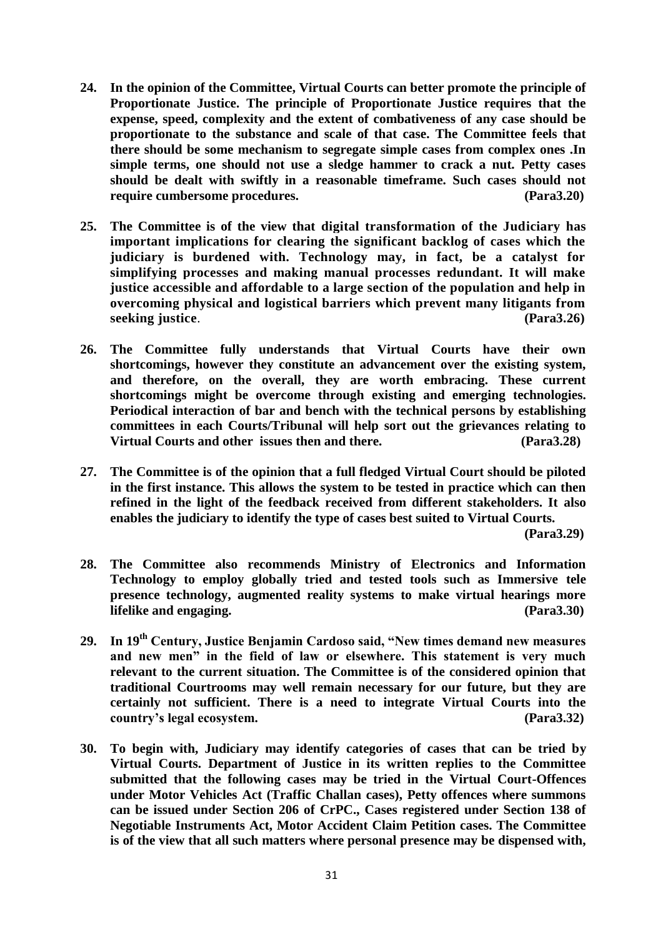- **24. In the opinion of the Committee, Virtual Courts can better promote the principle of Proportionate Justice. The principle of Proportionate Justice requires that the expense, speed, complexity and the extent of combativeness of any case should be proportionate to the substance and scale of that case. The Committee feels that there should be some mechanism to segregate simple cases from complex ones .In simple terms, one should not use a sledge hammer to crack a nut. Petty cases should be dealt with swiftly in a reasonable timeframe. Such cases should not require cumbersome procedures. (Para3.20)**
- **25. The Committee is of the view that digital transformation of the Judiciary has important implications for clearing the significant backlog of cases which the judiciary is burdened with. Technology may, in fact, be a catalyst for simplifying processes and making manual processes redundant. It will make justice accessible and affordable to a large section of the population and help in overcoming physical and logistical barriers which prevent many litigants from seeking justice**. **(Para3.26)**
- **26. The Committee fully understands that Virtual Courts have their own shortcomings, however they constitute an advancement over the existing system, and therefore, on the overall, they are worth embracing. These current shortcomings might be overcome through existing and emerging technologies. Periodical interaction of bar and bench with the technical persons by establishing committees in each Courts/Tribunal will help sort out the grievances relating to Virtual Courts and other issues then and there. (Para3.28)**
- **27. The Committee is of the opinion that a full fledged Virtual Court should be piloted in the first instance. This allows the system to be tested in practice which can then refined in the light of the feedback received from different stakeholders. It also enables the judiciary to identify the type of cases best suited to Virtual Courts.**

**(Para3.29)**

- **28. The Committee also recommends Ministry of Electronics and Information Technology to employ globally tried and tested tools such as Immersive tele presence technology, augmented reality systems to make virtual hearings more lifelike and engaging. (Para3.30)**
- **29. In 19th Century, Justice Benjamin Cardoso said, "New times demand new measures and new men" in the field of law or elsewhere. This statement is very much relevant to the current situation. The Committee is of the considered opinion that traditional Courtrooms may well remain necessary for our future, but they are certainly not sufficient. There is a need to integrate Virtual Courts into the country's legal ecosystem. (Para3.32)**
- **30. To begin with, Judiciary may identify categories of cases that can be tried by Virtual Courts. Department of Justice in its written replies to the Committee submitted that the following cases may be tried in the Virtual Court-Offences under Motor Vehicles Act (Traffic Challan cases), Petty offences where summons can be issued under Section 206 of CrPC., Cases registered under Section 138 of Negotiable Instruments Act, Motor Accident Claim Petition cases. The Committee is of the view that all such matters where personal presence may be dispensed with,**